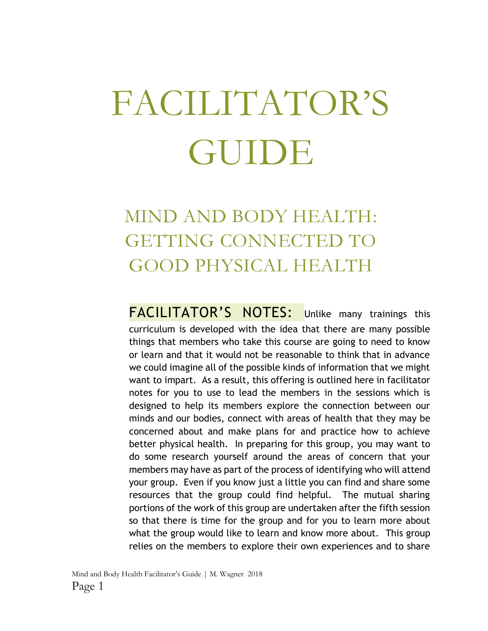# FACILITATOR'S GUIDE

### MIND AND BODY HEALTH: GETTING CONNECTED TO GOOD PHYSICAL HEALTH

FACILITATOR'S NOTES: Unlike many trainings this curriculum is developed with the idea that there are many possible things that members who take this course are going to need to know or learn and that it would not be reasonable to think that in advance we could imagine all of the possible kinds of information that we might want to impart. As a result, this offering is outlined here in facilitator notes for you to use to lead the members in the sessions which is designed to help its members explore the connection between our minds and our bodies, connect with areas of health that they may be concerned about and make plans for and practice how to achieve better physical health. In preparing for this group, you may want to do some research yourself around the areas of concern that your members may have as part of the process of identifying who will attend your group. Even if you know just a little you can find and share some resources that the group could find helpful. The mutual sharing portions of the work of this group are undertaken after the fifth session so that there is time for the group and for you to learn more about what the group would like to learn and know more about. This group relies on the members to explore their own experiences and to share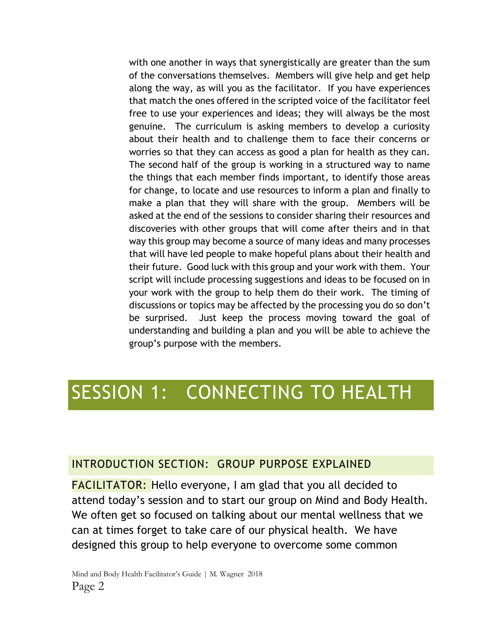with one another in ways that synergistically are greater than the sum of the conversations themselves. Members will give help and get help along the way, as will you as the facilitator. If you have experiences that match the ones offered in the scripted voice of the facilitator feel free to use your experiences and ideas; they will always be the most genuine. The curriculum is asking members to develop a curiosity about their health and to challenge them to face their concerns or worries so that they can access as good a plan for health as they can. The second half of the group is working in a structured way to name the things that each member finds important, to identify those areas for change, to locate and use resources to inform a plan and finally to make a plan that they will share with the group. Members will be asked at the end of the sessions to consider sharing their resources and discoveries with other groups that will come after theirs and in that way this group may become a source of many ideas and many processes that will have led people to make hopeful plans about their health and their future. Good luck with this group and your work with them. Your script will include processing suggestions and ideas to be focused on in your work with the group to help them do their work. The timing of discussions or topics may be affected by the processing you do so don't be surprised. Just keep the process moving toward the goal of understanding and building a plan and you will be able to achieve the group's purpose with the members.

### SESSION 1: CONNECTING TO HEALTH

#### INTRODUCTION SECTION: GROUP PURPOSE EXPLAINED

FACILITATOR: Hello everyone, I am glad that you all decided to attend today's session and to start our group on Mind and Body Health. We often get so focused on talking about our mental wellness that we can at times forget to take care of our physical health. We have designed this group to help everyone to overcome some common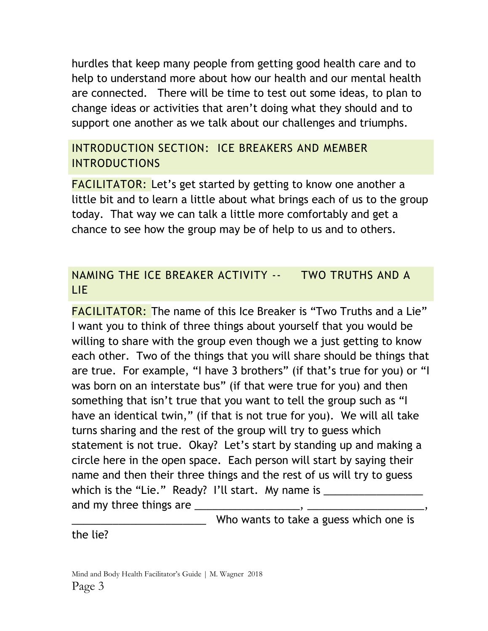hurdles that keep many people from getting good health care and to help to understand more about how our health and our mental health are connected. There will be time to test out some ideas, to plan to change ideas or activities that aren't doing what they should and to support one another as we talk about our challenges and triumphs.

### INTRODUCTION SECTION: ICE BREAKERS AND MEMBER INTRODUCTIONS

**FACILITATOR:** Let's get started by getting to know one another a little bit and to learn a little about what brings each of us to the group today. That way we can talk a little more comfortably and get a chance to see how the group may be of help to us and to others.

#### NAMING THE ICE BREAKER ACTIVITY -- TWO TRUTHS AND A LIE

FACILITATOR: The name of this Ice Breaker is "Two Truths and a Lie" I want you to think of three things about yourself that you would be willing to share with the group even though we a just getting to know each other. Two of the things that you will share should be things that are true. For example, "I have 3 brothers" (if that's true for you) or "I was born on an interstate bus" (if that were true for you) and then something that isn't true that you want to tell the group such as "I have an identical twin," (if that is not true for you). We will all take turns sharing and the rest of the group will try to guess which statement is not true. Okay? Let's start by standing up and making a circle here in the open space. Each person will start by saying their name and then their three things and the rest of us will try to guess which is the "Lie." Ready? I'll start. My name is \_\_\_\_\_\_\_\_\_\_\_\_\_\_\_\_\_\_\_\_\_\_\_\_\_\_\_\_\_\_ and my three things are \_\_\_\_\_\_\_\_\_\_\_\_\_\_\_\_\_\_, \_\_\_\_\_\_\_\_\_\_\_\_\_\_\_\_\_\_\_\_,

Who wants to take a guess which one is

the lie?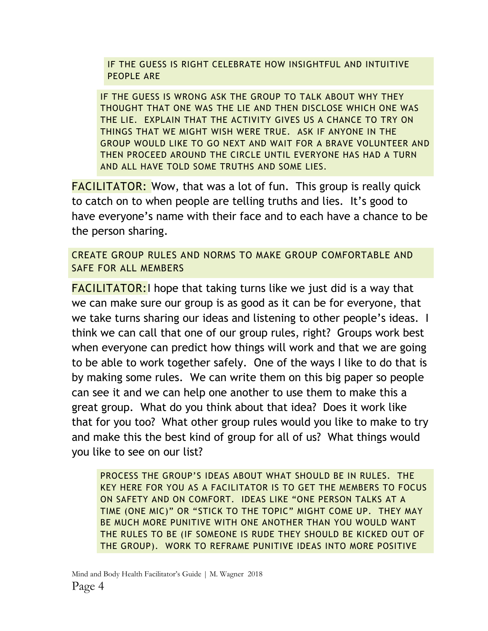IF THE GUESS IS RIGHT CELEBRATE HOW INSIGHTFUL AND INTUITIVE PEOPLE ARE

IF THE GUESS IS WRONG ASK THE GROUP TO TALK ABOUT WHY THEY THOUGHT THAT ONE WAS THE LIE AND THEN DISCLOSE WHICH ONE WAS THE LIE. EXPLAIN THAT THE ACTIVITY GIVES US A CHANCE TO TRY ON THINGS THAT WE MIGHT WISH WERE TRUE. ASK IF ANYONE IN THE GROUP WOULD LIKE TO GO NEXT AND WAIT FOR A BRAVE VOLUNTEER AND THEN PROCEED AROUND THE CIRCLE UNTIL EVERYONE HAS HAD A TURN AND ALL HAVE TOLD SOME TRUTHS AND SOME LIES.

FACILITATOR: Wow, that was a lot of fun. This group is really quick to catch on to when people are telling truths and lies. It's good to have everyone's name with their face and to each have a chance to be the person sharing.

CREATE GROUP RULES AND NORMS TO MAKE GROUP COMFORTABLE AND SAFE FOR ALL MEMBERS

**FACILITATOR:** I hope that taking turns like we just did is a way that we can make sure our group is as good as it can be for everyone, that we take turns sharing our ideas and listening to other people's ideas. I think we can call that one of our group rules, right? Groups work best when everyone can predict how things will work and that we are going to be able to work together safely. One of the ways I like to do that is by making some rules. We can write them on this big paper so people can see it and we can help one another to use them to make this a great group. What do you think about that idea? Does it work like that for you too? What other group rules would you like to make to try and make this the best kind of group for all of us? What things would you like to see on our list?

PROCESS THE GROUP'S IDEAS ABOUT WHAT SHOULD BE IN RULES. THE KEY HERE FOR YOU AS A FACILITATOR IS TO GET THE MEMBERS TO FOCUS ON SAFETY AND ON COMFORT. IDEAS LIKE "ONE PERSON TALKS AT A TIME (ONE MIC)" OR "STICK TO THE TOPIC" MIGHT COME UP. THEY MAY BE MUCH MORE PUNITIVE WITH ONE ANOTHER THAN YOU WOULD WANT THE RULES TO BE (IF SOMEONE IS RUDE THEY SHOULD BE KICKED OUT OF THE GROUP). WORK TO REFRAME PUNITIVE IDEAS INTO MORE POSITIVE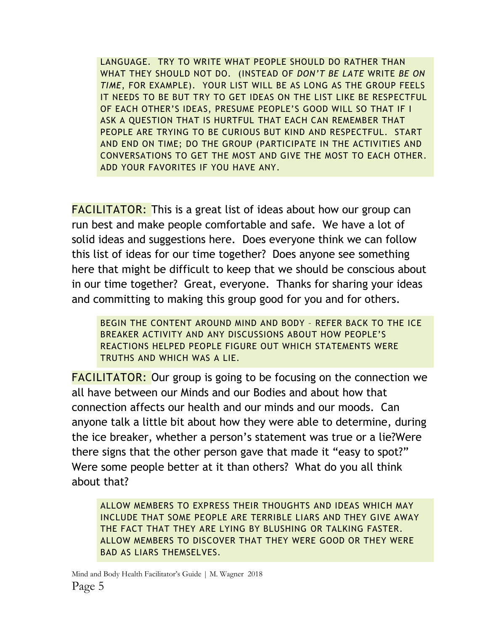LANGUAGE. TRY TO WRITE WHAT PEOPLE SHOULD DO RATHER THAN WHAT THEY SHOULD NOT DO. (INSTEAD OF *DON'T BE LATE* WRITE *BE ON TIME*, FOR EXAMPLE). YOUR LIST WILL BE AS LONG AS THE GROUP FEELS IT NEEDS TO BE BUT TRY TO GET IDEAS ON THE LIST LIKE BE RESPECTFUL OF EACH OTHER'S IDEAS, PRESUME PEOPLE'S GOOD WILL SO THAT IF I ASK A QUESTION THAT IS HURTFUL THAT EACH CAN REMEMBER THAT PEOPLE ARE TRYING TO BE CURIOUS BUT KIND AND RESPECTFUL. START AND END ON TIME; DO THE GROUP (PARTICIPATE IN THE ACTIVITIES AND CONVERSATIONS TO GET THE MOST AND GIVE THE MOST TO EACH OTHER. ADD YOUR FAVORITES IF YOU HAVE ANY.

**FACILITATOR:** This is a great list of ideas about how our group can run best and make people comfortable and safe. We have a lot of solid ideas and suggestions here. Does everyone think we can follow this list of ideas for our time together? Does anyone see something here that might be difficult to keep that we should be conscious about in our time together? Great, everyone. Thanks for sharing your ideas and committing to making this group good for you and for others.

BEGIN THE CONTENT AROUND MIND AND BODY – REFER BACK TO THE ICE BREAKER ACTIVITY AND ANY DISCUSSIONS ABOUT HOW PEOPLE'S REACTIONS HELPED PEOPLE FIGURE OUT WHICH STATEMENTS WERE TRUTHS AND WHICH WAS A LIE.

FACILITATOR: Our group is going to be focusing on the connection we all have between our Minds and our Bodies and about how that connection affects our health and our minds and our moods. Can anyone talk a little bit about how they were able to determine, during the ice breaker, whether a person's statement was true or a lie?Were there signs that the other person gave that made it "easy to spot?" Were some people better at it than others? What do you all think about that?

ALLOW MEMBERS TO EXPRESS THEIR THOUGHTS AND IDEAS WHICH MAY INCLUDE THAT SOME PEOPLE ARE TERRIBLE LIARS AND THEY GIVE AWAY THE FACT THAT THEY ARE LYING BY BLUSHING OR TALKING FASTER. ALLOW MEMBERS TO DISCOVER THAT THEY WERE GOOD OR THEY WERE BAD AS LIARS THEMSELVES.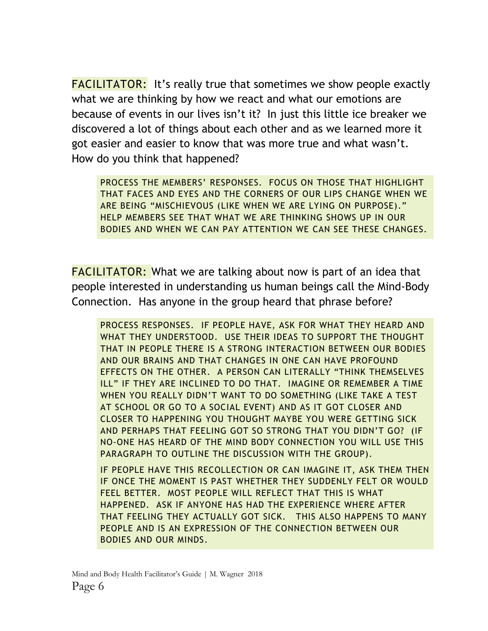FACILITATOR: It's really true that sometimes we show people exactly what we are thinking by how we react and what our emotions are because of events in our lives isn't it? In just this little ice breaker we discovered a lot of things about each other and as we learned more it got easier and easier to know that was more true and what wasn't. How do you think that happened?

PROCESS THE MEMBERS' RESPONSES. FOCUS ON THOSE THAT HIGHLIGHT THAT FACES AND EYES AND THE CORNERS OF OUR LIPS CHANGE WHEN WE ARE BEING "MISCHIEVOUS (LIKE WHEN WE ARE LYING ON PURPOSE)." HELP MEMBERS SEE THAT WHAT WE ARE THINKING SHOWS UP IN OUR BODIES AND WHEN WE CAN PAY ATTENTION WE CAN SEE THESE CHANGES.

**FACILITATOR:** What we are talking about now is part of an idea that people interested in understanding us human beings call the Mind-Body Connection. Has anyone in the group heard that phrase before?

PROCESS RESPONSES. IF PEOPLE HAVE, ASK FOR WHAT THEY HEARD AND WHAT THEY UNDERSTOOD. USE THEIR IDEAS TO SUPPORT THE THOUGHT THAT IN PEOPLE THERE IS A STRONG INTERACTION BETWEEN OUR BODIES AND OUR BRAINS AND THAT CHANGES IN ONE CAN HAVE PROFOUND EFFECTS ON THE OTHER. A PERSON CAN LITERALLY "THINK THEMSELVES ILL" IF THEY ARE INCLINED TO DO THAT. IMAGINE OR REMEMBER A TIME WHEN YOU REALLY DIDN'T WANT TO DO SOMETHING (LIKE TAKE A TEST AT SCHOOL OR GO TO A SOCIAL EVENT) AND AS IT GOT CLOSER AND CLOSER TO HAPPENING YOU THOUGHT MAYBE YOU WERE GETTING SICK AND PERHAPS THAT FEELING GOT SO STRONG THAT YOU DIDN'T GO? (IF NO-ONE HAS HEARD OF THE MIND BODY CONNECTION YOU WILL USE THIS PARAGRAPH TO OUTLINE THE DISCUSSION WITH THE GROUP).

IF PEOPLE HAVE THIS RECOLLECTION OR CAN IMAGINE IT, ASK THEM THEN IF ONCE THE MOMENT IS PAST WHETHER THEY SUDDENLY FELT OR WOULD FEEL BETTER. MOST PEOPLE WILL REFLECT THAT THIS IS WHAT HAPPENED. ASK IF ANYONE HAS HAD THE EXPERIENCE WHERE AFTER THAT FEELING THEY ACTUALLY GOT SICK. THIS ALSO HAPPENS TO MANY PEOPLE AND IS AN EXPRESSION OF THE CONNECTION BETWEEN OUR BODIES AND OUR MINDS.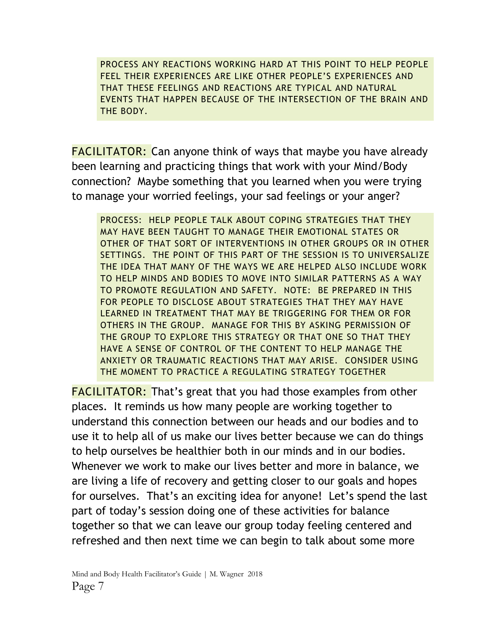PROCESS ANY REACTIONS WORKING HARD AT THIS POINT TO HELP PEOPLE FEEL THEIR EXPERIENCES ARE LIKE OTHER PEOPLE'S EXPERIENCES AND THAT THESE FEELINGS AND REACTIONS ARE TYPICAL AND NATURAL EVENTS THAT HAPPEN BECAUSE OF THE INTERSECTION OF THE BRAIN AND THE BODY.

FACILITATOR: Can anyone think of ways that maybe you have already been learning and practicing things that work with your Mind/Body connection? Maybe something that you learned when you were trying to manage your worried feelings, your sad feelings or your anger?

PROCESS: HELP PEOPLE TALK ABOUT COPING STRATEGIES THAT THEY MAY HAVE BEEN TAUGHT TO MANAGE THEIR EMOTIONAL STATES OR OTHER OF THAT SORT OF INTERVENTIONS IN OTHER GROUPS OR IN OTHER SETTINGS. THE POINT OF THIS PART OF THE SESSION IS TO UNIVERSALIZE THE IDEA THAT MANY OF THE WAYS WE ARE HELPED ALSO INCLUDE WORK TO HELP MINDS AND BODIES TO MOVE INTO SIMILAR PATTERNS AS A WAY TO PROMOTE REGULATION AND SAFETY. NOTE: BE PREPARED IN THIS FOR PEOPLE TO DISCLOSE ABOUT STRATEGIES THAT THEY MAY HAVE LEARNED IN TREATMENT THAT MAY BE TRIGGERING FOR THEM OR FOR OTHERS IN THE GROUP. MANAGE FOR THIS BY ASKING PERMISSION OF THE GROUP TO EXPLORE THIS STRATEGY OR THAT ONE SO THAT THEY HAVE A SENSE OF CONTROL OF THE CONTENT TO HELP MANAGE THE ANXIETY OR TRAUMATIC REACTIONS THAT MAY ARISE. CONSIDER USING THE MOMENT TO PRACTICE A REGULATING STRATEGY TOGETHER

FACILITATOR: That's great that you had those examples from other places. It reminds us how many people are working together to understand this connection between our heads and our bodies and to use it to help all of us make our lives better because we can do things to help ourselves be healthier both in our minds and in our bodies. Whenever we work to make our lives better and more in balance, we are living a life of recovery and getting closer to our goals and hopes for ourselves. That's an exciting idea for anyone! Let's spend the last part of today's session doing one of these activities for balance together so that we can leave our group today feeling centered and refreshed and then next time we can begin to talk about some more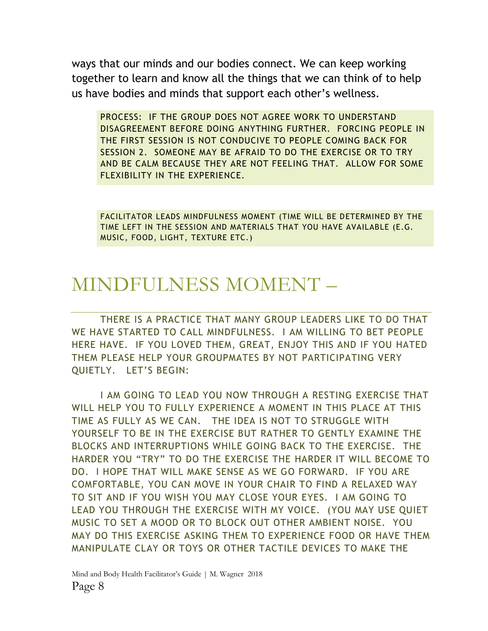ways that our minds and our bodies connect. We can keep working together to learn and know all the things that we can think of to help us have bodies and minds that support each other's wellness.

PROCESS: IF THE GROUP DOES NOT AGREE WORK TO UNDERSTAND DISAGREEMENT BEFORE DOING ANYTHING FURTHER. FORCING PEOPLE IN THE FIRST SESSION IS NOT CONDUCIVE TO PEOPLE COMING BACK FOR SESSION 2. SOMEONE MAY BE AFRAID TO DO THE EXERCISE OR TO TRY AND BE CALM BECAUSE THEY ARE NOT FEELING THAT. ALLOW FOR SOME FLEXIBILITY IN THE EXPERIENCE.

FACILITATOR LEADS MINDFULNESS MOMENT (TIME WILL BE DETERMINED BY THE TIME LEFT IN THE SESSION AND MATERIALS THAT YOU HAVE AVAILABLE (E.G. MUSIC, FOOD, LIGHT, TEXTURE ETC.)

### MINDFULNESS MOMENT –

THERE IS A PRACTICE THAT MANY GROUP LEADERS LIKE TO DO THAT WE HAVE STARTED TO CALL MINDFULNESS. I AM WILLING TO BET PEOPLE HERE HAVE. IF YOU LOVED THEM, GREAT, ENJOY THIS AND IF YOU HATED THEM PLEASE HELP YOUR GROUPMATES BY NOT PARTICIPATING VERY QUIETLY. LET'S BEGIN:

I AM GOING TO LEAD YOU NOW THROUGH A RESTING EXERCISE THAT WILL HELP YOU TO FULLY EXPERIENCE A MOMENT IN THIS PLACE AT THIS TIME AS FULLY AS WE CAN. THE IDEA IS NOT TO STRUGGLE WITH YOURSELF TO BE IN THE EXERCISE BUT RATHER TO GENTLY EXAMINE THE BLOCKS AND INTERRUPTIONS WHILE GOING BACK TO THE EXERCISE. THE HARDER YOU "TRY" TO DO THE EXERCISE THE HARDER IT WILL BECOME TO DO. I HOPE THAT WILL MAKE SENSE AS WE GO FORWARD. IF YOU ARE COMFORTABLE, YOU CAN MOVE IN YOUR CHAIR TO FIND A RELAXED WAY TO SIT AND IF YOU WISH YOU MAY CLOSE YOUR EYES. I AM GOING TO LEAD YOU THROUGH THE EXERCISE WITH MY VOICE. (YOU MAY USE QUIET MUSIC TO SET A MOOD OR TO BLOCK OUT OTHER AMBIENT NOISE. YOU MAY DO THIS EXERCISE ASKING THEM TO EXPERIENCE FOOD OR HAVE THEM MANIPULATE CLAY OR TOYS OR OTHER TACTILE DEVICES TO MAKE THE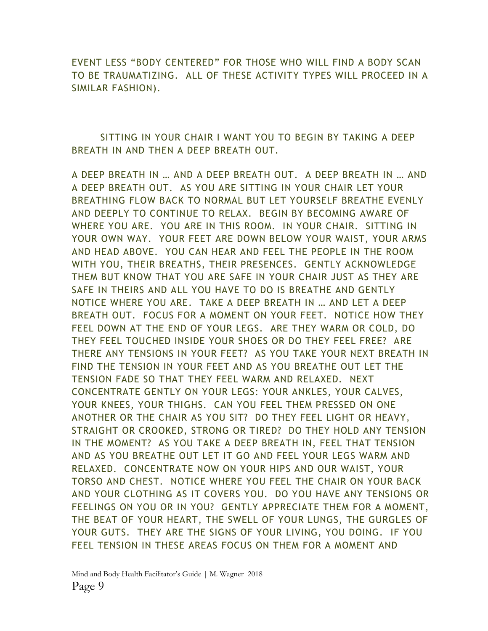EVENT LESS "BODY CENTERED" FOR THOSE WHO WILL FIND A BODY SCAN TO BE TRAUMATIZING. ALL OF THESE ACTIVITY TYPES WILL PROCEED IN A SIMILAR FASHION).

SITTING IN YOUR CHAIR I WANT YOU TO BEGIN BY TAKING A DEEP BREATH IN AND THEN A DEEP BREATH OUT.

A DEEP BREATH IN … AND A DEEP BREATH OUT. A DEEP BREATH IN … AND A DEEP BREATH OUT. AS YOU ARE SITTING IN YOUR CHAIR LET YOUR BREATHING FLOW BACK TO NORMAL BUT LET YOURSELF BREATHE EVENLY AND DEEPLY TO CONTINUE TO RELAX. BEGIN BY BECOMING AWARE OF WHERE YOU ARE. YOU ARE IN THIS ROOM. IN YOUR CHAIR. SITTING IN YOUR OWN WAY. YOUR FEET ARE DOWN BELOW YOUR WAIST, YOUR ARMS AND HEAD ABOVE. YOU CAN HEAR AND FEEL THE PEOPLE IN THE ROOM WITH YOU, THEIR BREATHS, THEIR PRESENCES. GENTLY ACKNOWLEDGE THEM BUT KNOW THAT YOU ARE SAFE IN YOUR CHAIR JUST AS THEY ARE SAFE IN THEIRS AND ALL YOU HAVE TO DO IS BREATHE AND GENTLY NOTICE WHERE YOU ARE. TAKE A DEEP BREATH IN … AND LET A DEEP BREATH OUT. FOCUS FOR A MOMENT ON YOUR FEET. NOTICE HOW THEY FEEL DOWN AT THE END OF YOUR LEGS. ARE THEY WARM OR COLD, DO THEY FEEL TOUCHED INSIDE YOUR SHOES OR DO THEY FEEL FREE? ARE THERE ANY TENSIONS IN YOUR FEET? AS YOU TAKE YOUR NEXT BREATH IN FIND THE TENSION IN YOUR FEET AND AS YOU BREATHE OUT LET THE TENSION FADE SO THAT THEY FEEL WARM AND RELAXED. NEXT CONCENTRATE GENTLY ON YOUR LEGS: YOUR ANKLES, YOUR CALVES, YOUR KNEES, YOUR THIGHS. CAN YOU FEEL THEM PRESSED ON ONE ANOTHER OR THE CHAIR AS YOU SIT? DO THEY FEEL LIGHT OR HEAVY, STRAIGHT OR CROOKED, STRONG OR TIRED? DO THEY HOLD ANY TENSION IN THE MOMENT? AS YOU TAKE A DEEP BREATH IN, FEEL THAT TENSION AND AS YOU BREATHE OUT LET IT GO AND FEEL YOUR LEGS WARM AND RELAXED. CONCENTRATE NOW ON YOUR HIPS AND OUR WAIST, YOUR TORSO AND CHEST. NOTICE WHERE YOU FEEL THE CHAIR ON YOUR BACK AND YOUR CLOTHING AS IT COVERS YOU. DO YOU HAVE ANY TENSIONS OR FEELINGS ON YOU OR IN YOU? GENTLY APPRECIATE THEM FOR A MOMENT, THE BEAT OF YOUR HEART, THE SWELL OF YOUR LUNGS, THE GURGLES OF YOUR GUTS. THEY ARE THE SIGNS OF YOUR LIVING, YOU DOING. IF YOU FEEL TENSION IN THESE AREAS FOCUS ON THEM FOR A MOMENT AND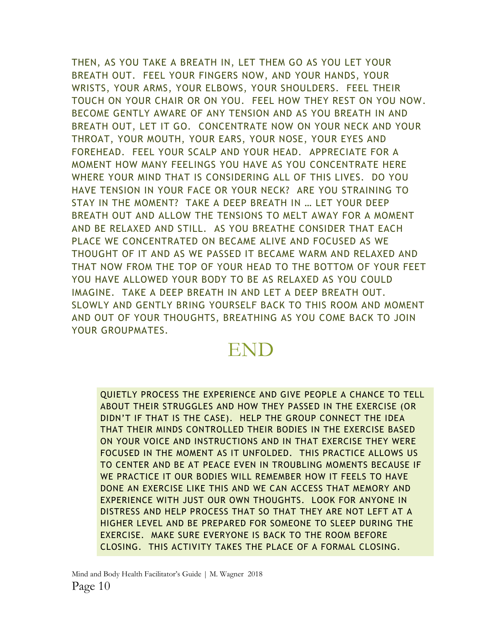THEN, AS YOU TAKE A BREATH IN, LET THEM GO AS YOU LET YOUR BREATH OUT. FEEL YOUR FINGERS NOW, AND YOUR HANDS, YOUR WRISTS, YOUR ARMS, YOUR ELBOWS, YOUR SHOULDERS. FEEL THEIR TOUCH ON YOUR CHAIR OR ON YOU. FEEL HOW THEY REST ON YOU NOW. BECOME GENTLY AWARE OF ANY TENSION AND AS YOU BREATH IN AND BREATH OUT, LET IT GO. CONCENTRATE NOW ON YOUR NECK AND YOUR THROAT, YOUR MOUTH, YOUR EARS, YOUR NOSE, YOUR EYES AND FOREHEAD. FEEL YOUR SCALP AND YOUR HEAD. APPRECIATE FOR A MOMENT HOW MANY FEELINGS YOU HAVE AS YOU CONCENTRATE HERE WHERE YOUR MIND THAT IS CONSIDERING ALL OF THIS LIVES. DO YOU HAVE TENSION IN YOUR FACE OR YOUR NECK? ARE YOU STRAINING TO STAY IN THE MOMENT? TAKE A DEEP BREATH IN … LET YOUR DEEP BREATH OUT AND ALLOW THE TENSIONS TO MELT AWAY FOR A MOMENT AND BE RELAXED AND STILL. AS YOU BREATHE CONSIDER THAT EACH PLACE WE CONCENTRATED ON BECAME ALIVE AND FOCUSED AS WE THOUGHT OF IT AND AS WE PASSED IT BECAME WARM AND RELAXED AND THAT NOW FROM THE TOP OF YOUR HEAD TO THE BOTTOM OF YOUR FEET YOU HAVE ALLOWED YOUR BODY TO BE AS RELAXED AS YOU COULD IMAGINE. TAKE A DEEP BREATH IN AND LET A DEEP BREATH OUT. SLOWLY AND GENTLY BRING YOURSELF BACK TO THIS ROOM AND MOMENT AND OUT OF YOUR THOUGHTS, BREATHING AS YOU COME BACK TO JOIN YOUR GROUPMATES.

### END

QUIETLY PROCESS THE EXPERIENCE AND GIVE PEOPLE A CHANCE TO TELL ABOUT THEIR STRUGGLES AND HOW THEY PASSED IN THE EXERCISE (OR DIDN'T IF THAT IS THE CASE). HELP THE GROUP CONNECT THE IDEA THAT THEIR MINDS CONTROLLED THEIR BODIES IN THE EXERCISE BASED ON YOUR VOICE AND INSTRUCTIONS AND IN THAT EXERCISE THEY WERE FOCUSED IN THE MOMENT AS IT UNFOLDED. THIS PRACTICE ALLOWS US TO CENTER AND BE AT PEACE EVEN IN TROUBLING MOMENTS BECAUSE IF WE PRACTICE IT OUR BODIES WILL REMEMBER HOW IT FEELS TO HAVE DONE AN EXERCISE LIKE THIS AND WE CAN ACCESS THAT MEMORY AND EXPERIENCE WITH JUST OUR OWN THOUGHTS. LOOK FOR ANYONE IN DISTRESS AND HELP PROCESS THAT SO THAT THEY ARE NOT LEFT AT A HIGHER LEVEL AND BE PREPARED FOR SOMEONE TO SLEEP DURING THE EXERCISE. MAKE SURE EVERYONE IS BACK TO THE ROOM BEFORE CLOSING. THIS ACTIVITY TAKES THE PLACE OF A FORMAL CLOSING.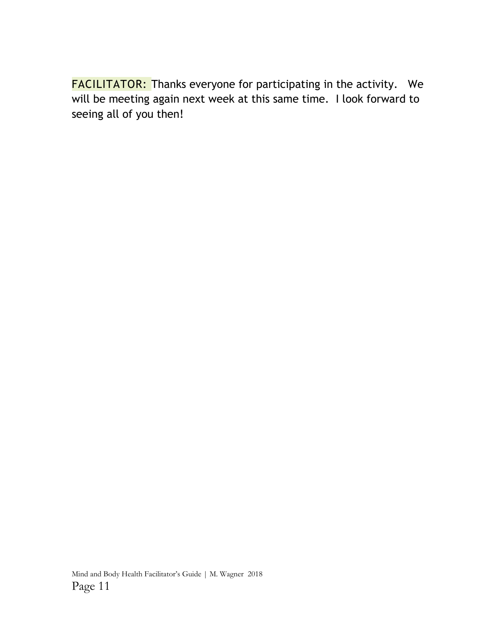FACILITATOR: Thanks everyone for participating in the activity. We will be meeting again next week at this same time. I look forward to seeing all of you then!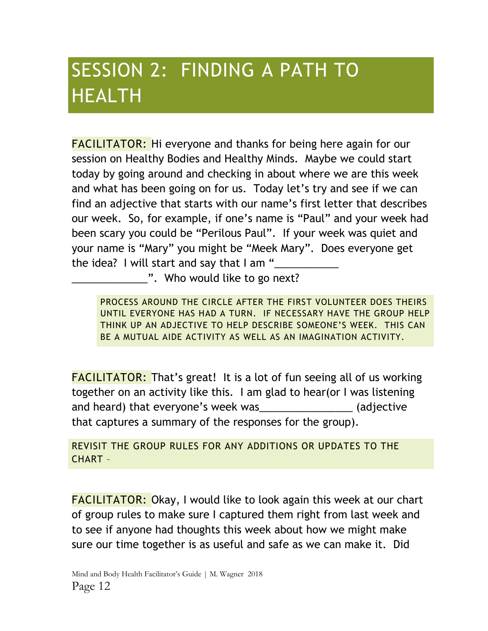# SESSION 2: FINDING A PATH TO HEALTH

FACILITATOR: Hi everyone and thanks for being here again for our session on Healthy Bodies and Healthy Minds. Maybe we could start today by going around and checking in about where we are this week and what has been going on for us. Today let's try and see if we can find an adjective that starts with our name's first letter that describes our week. So, for example, if one's name is "Paul" and your week had been scary you could be "Perilous Paul". If your week was quiet and your name is "Mary" you might be "Meek Mary". Does everyone get the idea? I will start and say that I am "

.". Who would like to go next?

PROCESS AROUND THE CIRCLE AFTER THE FIRST VOLUNTEER DOES THEIRS UNTIL EVERYONE HAS HAD A TURN. IF NECESSARY HAVE THE GROUP HELP THINK UP AN ADJECTIVE TO HELP DESCRIBE SOMEONE'S WEEK. THIS CAN BE A MUTUAL AIDE ACTIVITY AS WELL AS AN IMAGINATION ACTIVITY.

FACILITATOR: That's great! It is a lot of fun seeing all of us working together on an activity like this. I am glad to hear(or I was listening and heard) that everyone's week was exactled adjective that captures a summary of the responses for the group).

REVISIT THE GROUP RULES FOR ANY ADDITIONS OR UPDATES TO THE CHART –

FACILITATOR: Okay, I would like to look again this week at our chart of group rules to make sure I captured them right from last week and to see if anyone had thoughts this week about how we might make sure our time together is as useful and safe as we can make it. Did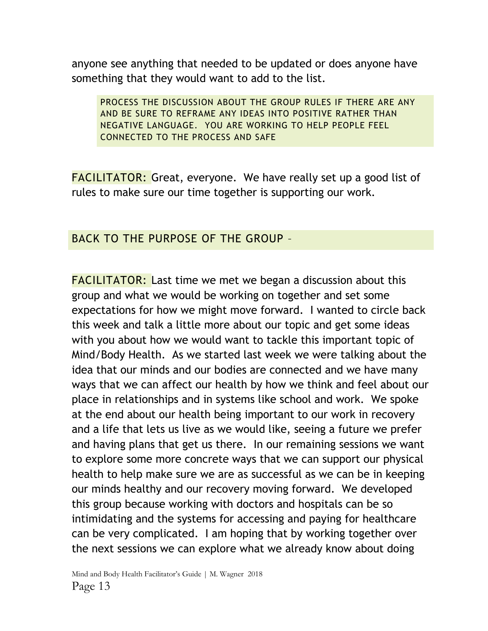anyone see anything that needed to be updated or does anyone have something that they would want to add to the list.

PROCESS THE DISCUSSION ABOUT THE GROUP RULES IF THERE ARE ANY AND BE SURE TO REFRAME ANY IDEAS INTO POSITIVE RATHER THAN NEGATIVE LANGUAGE. YOU ARE WORKING TO HELP PEOPLE FEEL CONNECTED TO THE PROCESS AND SAFE

**FACILITATOR:** Great, everyone. We have really set up a good list of rules to make sure our time together is supporting our work.

#### BACK TO THE PURPOSE OF THE GROUP –

FACILITATOR: Last time we met we began a discussion about this group and what we would be working on together and set some expectations for how we might move forward. I wanted to circle back this week and talk a little more about our topic and get some ideas with you about how we would want to tackle this important topic of Mind/Body Health. As we started last week we were talking about the idea that our minds and our bodies are connected and we have many ways that we can affect our health by how we think and feel about our place in relationships and in systems like school and work. We spoke at the end about our health being important to our work in recovery and a life that lets us live as we would like, seeing a future we prefer and having plans that get us there. In our remaining sessions we want to explore some more concrete ways that we can support our physical health to help make sure we are as successful as we can be in keeping our minds healthy and our recovery moving forward. We developed this group because working with doctors and hospitals can be so intimidating and the systems for accessing and paying for healthcare can be very complicated. I am hoping that by working together over the next sessions we can explore what we already know about doing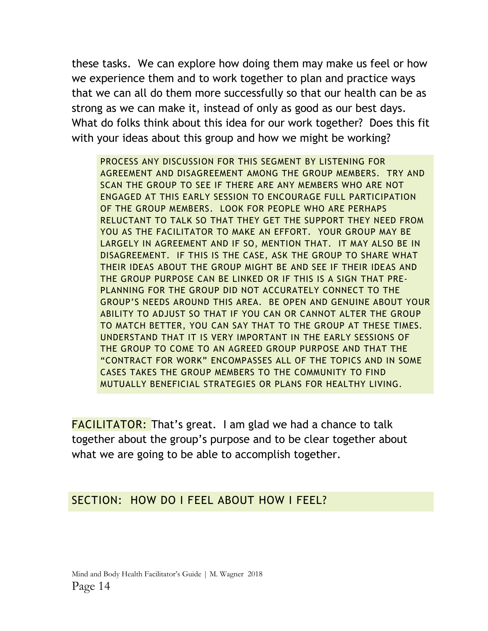these tasks. We can explore how doing them may make us feel or how we experience them and to work together to plan and practice ways that we can all do them more successfully so that our health can be as strong as we can make it, instead of only as good as our best days. What do folks think about this idea for our work together? Does this fit with your ideas about this group and how we might be working?

PROCESS ANY DISCUSSION FOR THIS SEGMENT BY LISTENING FOR AGREEMENT AND DISAGREEMENT AMONG THE GROUP MEMBERS. TRY AND SCAN THE GROUP TO SEE IF THERE ARE ANY MEMBERS WHO ARE NOT ENGAGED AT THIS EARLY SESSION TO ENCOURAGE FULL PARTICIPATION OF THE GROUP MEMBERS. LOOK FOR PEOPLE WHO ARE PERHAPS RELUCTANT TO TALK SO THAT THEY GET THE SUPPORT THEY NEED FROM YOU AS THE FACILITATOR TO MAKE AN EFFORT. YOUR GROUP MAY BE LARGELY IN AGREEMENT AND IF SO, MENTION THAT. IT MAY ALSO BE IN DISAGREEMENT. IF THIS IS THE CASE, ASK THE GROUP TO SHARE WHAT THEIR IDEAS ABOUT THE GROUP MIGHT BE AND SEE IF THEIR IDEAS AND THE GROUP PURPOSE CAN BE LINKED OR IF THIS IS A SIGN THAT PRE-PLANNING FOR THE GROUP DID NOT ACCURATELY CONNECT TO THE GROUP'S NEEDS AROUND THIS AREA. BE OPEN AND GENUINE ABOUT YOUR ABILITY TO ADJUST SO THAT IF YOU CAN OR CANNOT ALTER THE GROUP TO MATCH BETTER, YOU CAN SAY THAT TO THE GROUP AT THESE TIMES. UNDERSTAND THAT IT IS VERY IMPORTANT IN THE EARLY SESSIONS OF THE GROUP TO COME TO AN AGREED GROUP PURPOSE AND THAT THE "CONTRACT FOR WORK" ENCOMPASSES ALL OF THE TOPICS AND IN SOME CASES TAKES THE GROUP MEMBERS TO THE COMMUNITY TO FIND MUTUALLY BENEFICIAL STRATEGIES OR PLANS FOR HEALTHY LIVING.

FACILITATOR: That's great. I am glad we had a chance to talk together about the group's purpose and to be clear together about what we are going to be able to accomplish together.

#### SECTION: HOW DO I FEEL ABOUT HOW I FEEL?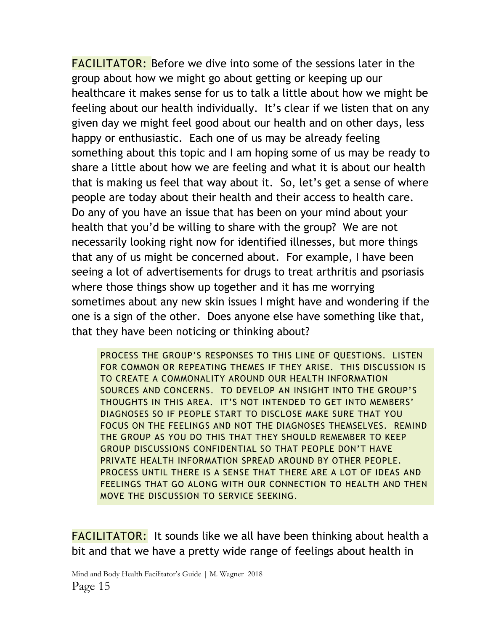FACILITATOR: Before we dive into some of the sessions later in the group about how we might go about getting or keeping up our healthcare it makes sense for us to talk a little about how we might be feeling about our health individually. It's clear if we listen that on any given day we might feel good about our health and on other days, less happy or enthusiastic. Each one of us may be already feeling something about this topic and I am hoping some of us may be ready to share a little about how we are feeling and what it is about our health that is making us feel that way about it. So, let's get a sense of where people are today about their health and their access to health care. Do any of you have an issue that has been on your mind about your health that you'd be willing to share with the group? We are not necessarily looking right now for identified illnesses, but more things that any of us might be concerned about. For example, I have been seeing a lot of advertisements for drugs to treat arthritis and psoriasis where those things show up together and it has me worrying sometimes about any new skin issues I might have and wondering if the one is a sign of the other. Does anyone else have something like that, that they have been noticing or thinking about?

PROCESS THE GROUP'S RESPONSES TO THIS LINE OF QUESTIONS. LISTEN FOR COMMON OR REPEATING THEMES IF THEY ARISE. THIS DISCUSSION IS TO CREATE A COMMONALITY AROUND OUR HEALTH INFORMATION SOURCES AND CONCERNS. TO DEVELOP AN INSIGHT INTO THE GROUP'S THOUGHTS IN THIS AREA. IT'S NOT INTENDED TO GET INTO MEMBERS' DIAGNOSES SO IF PEOPLE START TO DISCLOSE MAKE SURE THAT YOU FOCUS ON THE FEELINGS AND NOT THE DIAGNOSES THEMSELVES. REMIND THE GROUP AS YOU DO THIS THAT THEY SHOULD REMEMBER TO KEEP GROUP DISCUSSIONS CONFIDENTIAL SO THAT PEOPLE DON'T HAVE PRIVATE HEALTH INFORMATION SPREAD AROUND BY OTHER PEOPLE. PROCESS UNTIL THERE IS A SENSE THAT THERE ARE A LOT OF IDEAS AND FEELINGS THAT GO ALONG WITH OUR CONNECTION TO HEALTH AND THEN MOVE THE DISCUSSION TO SERVICE SEEKING.

**FACILITATOR:** It sounds like we all have been thinking about health a bit and that we have a pretty wide range of feelings about health in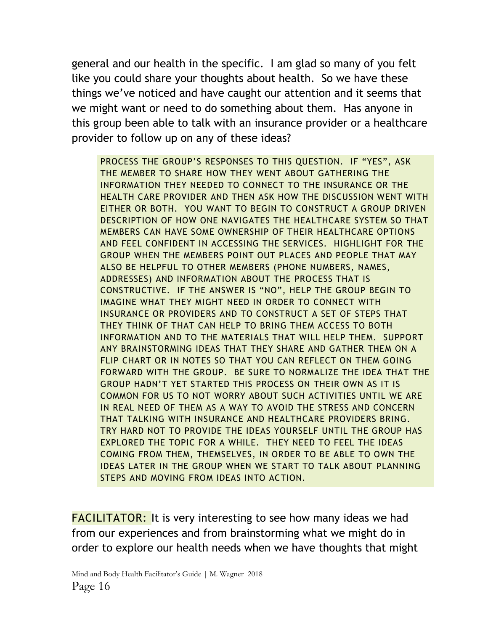general and our health in the specific. I am glad so many of you felt like you could share your thoughts about health. So we have these things we've noticed and have caught our attention and it seems that we might want or need to do something about them. Has anyone in this group been able to talk with an insurance provider or a healthcare provider to follow up on any of these ideas?

PROCESS THE GROUP'S RESPONSES TO THIS QUESTION. IF "YES", ASK THE MEMBER TO SHARE HOW THEY WENT ABOUT GATHERING THE INFORMATION THEY NEEDED TO CONNECT TO THE INSURANCE OR THE HEALTH CARE PROVIDER AND THEN ASK HOW THE DISCUSSION WENT WITH EITHER OR BOTH. YOU WANT TO BEGIN TO CONSTRUCT A GROUP DRIVEN DESCRIPTION OF HOW ONE NAVIGATES THE HEALTHCARE SYSTEM SO THAT MEMBERS CAN HAVE SOME OWNERSHIP OF THEIR HEALTHCARE OPTIONS AND FEEL CONFIDENT IN ACCESSING THE SERVICES. HIGHLIGHT FOR THE GROUP WHEN THE MEMBERS POINT OUT PLACES AND PEOPLE THAT MAY ALSO BE HELPFUL TO OTHER MEMBERS (PHONE NUMBERS, NAMES, ADDRESSES) AND INFORMATION ABOUT THE PROCESS THAT IS CONSTRUCTIVE. IF THE ANSWER IS "NO", HELP THE GROUP BEGIN TO IMAGINE WHAT THEY MIGHT NEED IN ORDER TO CONNECT WITH INSURANCE OR PROVIDERS AND TO CONSTRUCT A SET OF STEPS THAT THEY THINK OF THAT CAN HELP TO BRING THEM ACCESS TO BOTH INFORMATION AND TO THE MATERIALS THAT WILL HELP THEM. SUPPORT ANY BRAINSTORMING IDEAS THAT THEY SHARE AND GATHER THEM ON A FLIP CHART OR IN NOTES SO THAT YOU CAN REFLECT ON THEM GOING FORWARD WITH THE GROUP. BE SURE TO NORMALIZE THE IDEA THAT THE GROUP HADN'T YET STARTED THIS PROCESS ON THEIR OWN AS IT IS COMMON FOR US TO NOT WORRY ABOUT SUCH ACTIVITIES UNTIL WE ARE IN REAL NEED OF THEM AS A WAY TO AVOID THE STRESS AND CONCERN THAT TALKING WITH INSURANCE AND HEALTHCARE PROVIDERS BRING. TRY HARD NOT TO PROVIDE THE IDEAS YOURSELF UNTIL THE GROUP HAS EXPLORED THE TOPIC FOR A WHILE. THEY NEED TO FEEL THE IDEAS COMING FROM THEM, THEMSELVES, IN ORDER TO BE ABLE TO OWN THE IDEAS LATER IN THE GROUP WHEN WE START TO TALK ABOUT PLANNING STEPS AND MOVING FROM IDEAS INTO ACTION.

**FACILITATOR:** It is very interesting to see how many ideas we had from our experiences and from brainstorming what we might do in order to explore our health needs when we have thoughts that might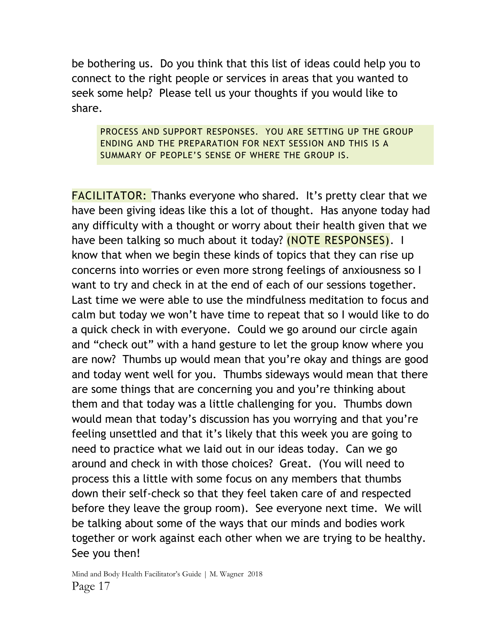be bothering us. Do you think that this list of ideas could help you to connect to the right people or services in areas that you wanted to seek some help? Please tell us your thoughts if you would like to share.

PROCESS AND SUPPORT RESPONSES. YOU ARE SETTING UP THE GROUP ENDING AND THE PREPARATION FOR NEXT SESSION AND THIS IS A SUMMARY OF PEOPLE'S SENSE OF WHERE THE GROUP IS.

FACILITATOR: Thanks everyone who shared. It's pretty clear that we have been giving ideas like this a lot of thought. Has anyone today had any difficulty with a thought or worry about their health given that we have been talking so much about it today? (NOTE RESPONSES). I know that when we begin these kinds of topics that they can rise up concerns into worries or even more strong feelings of anxiousness so I want to try and check in at the end of each of our sessions together. Last time we were able to use the mindfulness meditation to focus and calm but today we won't have time to repeat that so I would like to do a quick check in with everyone. Could we go around our circle again and "check out" with a hand gesture to let the group know where you are now? Thumbs up would mean that you're okay and things are good and today went well for you. Thumbs sideways would mean that there are some things that are concerning you and you're thinking about them and that today was a little challenging for you. Thumbs down would mean that today's discussion has you worrying and that you're feeling unsettled and that it's likely that this week you are going to need to practice what we laid out in our ideas today. Can we go around and check in with those choices? Great. (You will need to process this a little with some focus on any members that thumbs down their self-check so that they feel taken care of and respected before they leave the group room). See everyone next time. We will be talking about some of the ways that our minds and bodies work together or work against each other when we are trying to be healthy. See you then!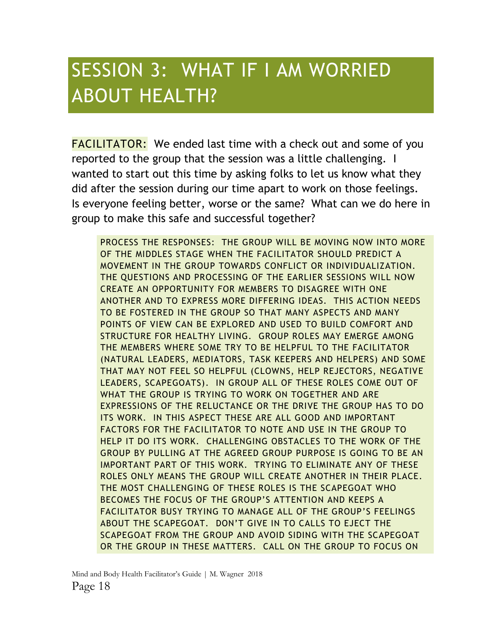### SESSION 3: WHAT IF I AM WORRIED ABOUT HEALTH?

**FACILITATOR:** We ended last time with a check out and some of you reported to the group that the session was a little challenging. I wanted to start out this time by asking folks to let us know what they did after the session during our time apart to work on those feelings. Is everyone feeling better, worse or the same? What can we do here in group to make this safe and successful together?

PROCESS THE RESPONSES: THE GROUP WILL BE MOVING NOW INTO MORE OF THE MIDDLES STAGE WHEN THE FACILITATOR SHOULD PREDICT A MOVEMENT IN THE GROUP TOWARDS CONFLICT OR INDIVIDUALIZATION. THE QUESTIONS AND PROCESSING OF THE EARLIER SESSIONS WILL NOW CREATE AN OPPORTUNITY FOR MEMBERS TO DISAGREE WITH ONE ANOTHER AND TO EXPRESS MORE DIFFERING IDEAS. THIS ACTION NEEDS TO BE FOSTERED IN THE GROUP SO THAT MANY ASPECTS AND MANY POINTS OF VIEW CAN BE EXPLORED AND USED TO BUILD COMFORT AND STRUCTURE FOR HEALTHY LIVING. GROUP ROLES MAY EMERGE AMONG THE MEMBERS WHERE SOME TRY TO BE HELPFUL TO THE FACILITATOR (NATURAL LEADERS, MEDIATORS, TASK KEEPERS AND HELPERS) AND SOME THAT MAY NOT FEEL SO HELPFUL (CLOWNS, HELP REJECTORS, NEGATIVE LEADERS, SCAPEGOATS). IN GROUP ALL OF THESE ROLES COME OUT OF WHAT THE GROUP IS TRYING TO WORK ON TOGETHER AND ARE EXPRESSIONS OF THE RELUCTANCE OR THE DRIVE THE GROUP HAS TO DO ITS WORK. IN THIS ASPECT THESE ARE ALL GOOD AND IMPORTANT FACTORS FOR THE FACILITATOR TO NOTE AND USE IN THE GROUP TO HELP IT DO ITS WORK. CHALLENGING OBSTACLES TO THE WORK OF THE GROUP BY PULLING AT THE AGREED GROUP PURPOSE IS GOING TO BE AN IMPORTANT PART OF THIS WORK. TRYING TO ELIMINATE ANY OF THESE ROLES ONLY MEANS THE GROUP WILL CREATE ANOTHER IN THEIR PLACE. THE MOST CHALLENGING OF THESE ROLES IS THE SCAPEGOAT WHO BECOMES THE FOCUS OF THE GROUP'S ATTENTION AND KEEPS A FACILITATOR BUSY TRYING TO MANAGE ALL OF THE GROUP'S FEELINGS ABOUT THE SCAPEGOAT. DON'T GIVE IN TO CALLS TO EJECT THE SCAPEGOAT FROM THE GROUP AND AVOID SIDING WITH THE SCAPEGOAT OR THE GROUP IN THESE MATTERS. CALL ON THE GROUP TO FOCUS ON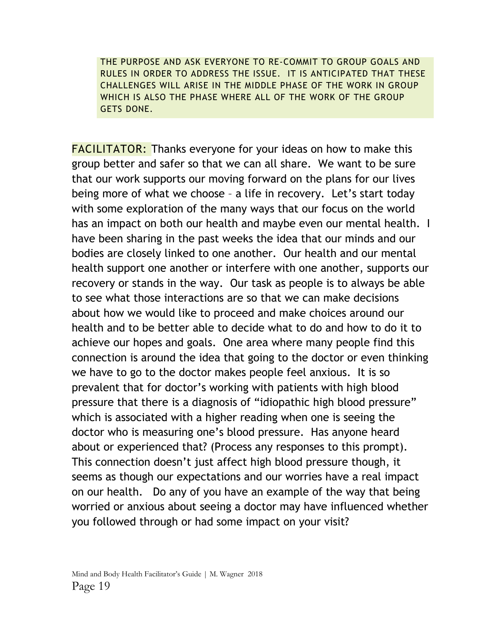THE PURPOSE AND ASK EVERYONE TO RE-COMMIT TO GROUP GOALS AND RULES IN ORDER TO ADDRESS THE ISSUE. IT IS ANTICIPATED THAT THESE CHALLENGES WILL ARISE IN THE MIDDLE PHASE OF THE WORK IN GROUP WHICH IS ALSO THE PHASE WHERE ALL OF THE WORK OF THE GROUP GETS DONE.

**FACILITATOR:** Thanks everyone for your ideas on how to make this group better and safer so that we can all share. We want to be sure that our work supports our moving forward on the plans for our lives being more of what we choose – a life in recovery. Let's start today with some exploration of the many ways that our focus on the world has an impact on both our health and maybe even our mental health. I have been sharing in the past weeks the idea that our minds and our bodies are closely linked to one another. Our health and our mental health support one another or interfere with one another, supports our recovery or stands in the way. Our task as people is to always be able to see what those interactions are so that we can make decisions about how we would like to proceed and make choices around our health and to be better able to decide what to do and how to do it to achieve our hopes and goals. One area where many people find this connection is around the idea that going to the doctor or even thinking we have to go to the doctor makes people feel anxious. It is so prevalent that for doctor's working with patients with high blood pressure that there is a diagnosis of "idiopathic high blood pressure" which is associated with a higher reading when one is seeing the doctor who is measuring one's blood pressure. Has anyone heard about or experienced that? (Process any responses to this prompt). This connection doesn't just affect high blood pressure though, it seems as though our expectations and our worries have a real impact on our health. Do any of you have an example of the way that being worried or anxious about seeing a doctor may have influenced whether you followed through or had some impact on your visit?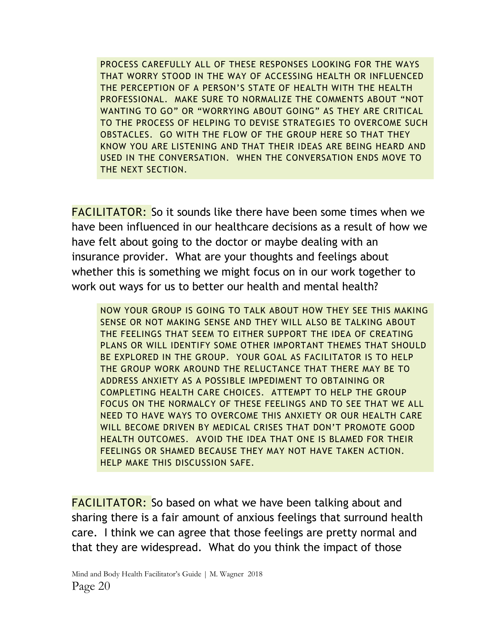PROCESS CAREFULLY ALL OF THESE RESPONSES LOOKING FOR THE WAYS THAT WORRY STOOD IN THE WAY OF ACCESSING HEALTH OR INFLUENCED THE PERCEPTION OF A PERSON'S STATE OF HEALTH WITH THE HEALTH PROFESSIONAL. MAKE SURE TO NORMALIZE THE COMMENTS ABOUT "NOT WANTING TO GO" OR "WORRYING ABOUT GOING" AS THEY ARE CRITICAL TO THE PROCESS OF HELPING TO DEVISE STRATEGIES TO OVERCOME SUCH OBSTACLES. GO WITH THE FLOW OF THE GROUP HERE SO THAT THEY KNOW YOU ARE LISTENING AND THAT THEIR IDEAS ARE BEING HEARD AND USED IN THE CONVERSATION. WHEN THE CONVERSATION ENDS MOVE TO THE NEXT SECTION.

FACILITATOR: So it sounds like there have been some times when we have been influenced in our healthcare decisions as a result of how we have felt about going to the doctor or maybe dealing with an insurance provider. What are your thoughts and feelings about whether this is something we might focus on in our work together to work out ways for us to better our health and mental health?

NOW YOUR GROUP IS GOING TO TALK ABOUT HOW THEY SEE THIS MAKING SENSE OR NOT MAKING SENSE AND THEY WILL ALSO BE TALKING ABOUT THE FEELINGS THAT SEEM TO EITHER SUPPORT THE IDEA OF CREATING PLANS OR WILL IDENTIFY SOME OTHER IMPORTANT THEMES THAT SHOULD BE EXPLORED IN THE GROUP. YOUR GOAL AS FACILITATOR IS TO HELP THE GROUP WORK AROUND THE RELUCTANCE THAT THERE MAY BE TO ADDRESS ANXIETY AS A POSSIBLE IMPEDIMENT TO OBTAINING OR COMPLETING HEALTH CARE CHOICES. ATTEMPT TO HELP THE GROUP FOCUS ON THE NORMALCY OF THESE FEELINGS AND TO SEE THAT WE ALL NEED TO HAVE WAYS TO OVERCOME THIS ANXIETY OR OUR HEALTH CARE WILL BECOME DRIVEN BY MEDICAL CRISES THAT DON'T PROMOTE GOOD HEALTH OUTCOMES. AVOID THE IDEA THAT ONE IS BLAMED FOR THEIR FEELINGS OR SHAMED BECAUSE THEY MAY NOT HAVE TAKEN ACTION. HELP MAKE THIS DISCUSSION SAFE.

**FACILITATOR:** So based on what we have been talking about and sharing there is a fair amount of anxious feelings that surround health care. I think we can agree that those feelings are pretty normal and that they are widespread. What do you think the impact of those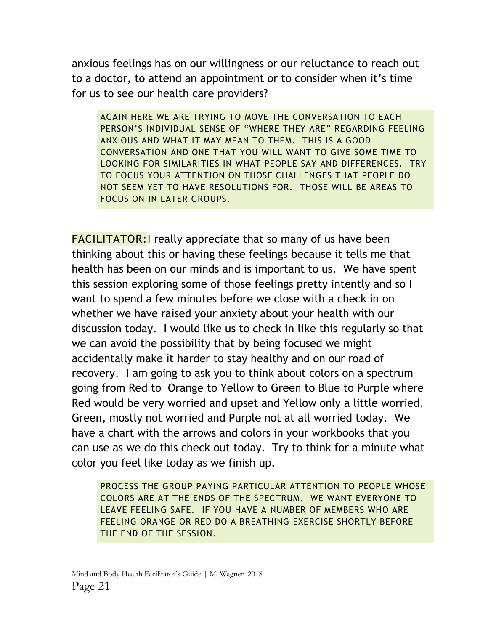anxious feelings has on our willingness or our reluctance to reach out to a doctor, to attend an appointment or to consider when it's time for us to see our health care providers?

AGAIN HERE WE ARE TRYING TO MOVE THE CONVERSATION TO EACH PERSON'S INDIVIDUAL SENSE OF "WHERE THEY ARE" REGARDING FEELING ANXIOUS AND WHAT IT MAY MEAN TO THEM. THIS IS A GOOD CONVERSATION AND ONE THAT YOU WILL WANT TO GIVE SOME TIME TO LOOKING FOR SIMILARITIES IN WHAT PEOPLE SAY AND DIFFERENCES. TRY TO FOCUS YOUR ATTENTION ON THOSE CHALLENGES THAT PEOPLE DO NOT SEEM YET TO HAVE RESOLUTIONS FOR. THOSE WILL BE AREAS TO FOCUS ON IN LATER GROUPS.

**FACILITATOR:** really appreciate that so many of us have been thinking about this or having these feelings because it tells me that health has been on our minds and is important to us. We have spent this session exploring some of those feelings pretty intently and so I want to spend a few minutes before we close with a check in on whether we have raised your anxiety about your health with our discussion today. I would like us to check in like this regularly so that we can avoid the possibility that by being focused we might accidentally make it harder to stay healthy and on our road of recovery. I am going to ask you to think about colors on a spectrum going from Red to Orange to Yellow to Green to Blue to Purple where Red would be very worried and upset and Yellow only a little worried, Green, mostly not worried and Purple not at all worried today. We have a chart with the arrows and colors in your workbooks that you can use as we do this check out today. Try to think for a minute what color you feel like today as we finish up.

PROCESS THE GROUP PAYING PARTICULAR ATTENTION TO PEOPLE WHOSE COLORS ARE AT THE ENDS OF THE SPECTRUM. WE WANT EVERYONE TO LEAVE FEELING SAFE. IF YOU HAVE A NUMBER OF MEMBERS WHO ARE FEELING ORANGE OR RED DO A BREATHING EXERCISE SHORTLY BEFORE THE END OF THE SESSION.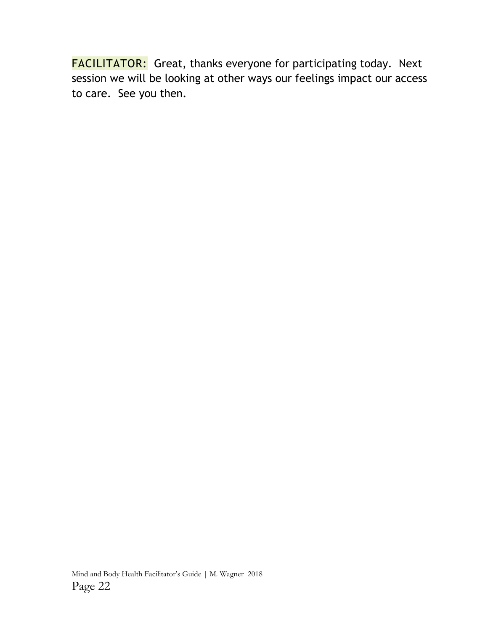FACILITATOR: Great, thanks everyone for participating today. Next session we will be looking at other ways our feelings impact our access to care. See you then.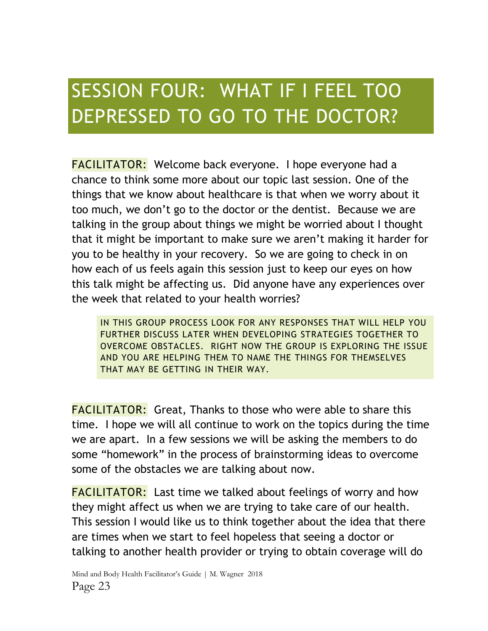# SESSION FOUR: WHAT IF I FEEL TOO DEPRESSED TO GO TO THE DOCTOR?

FACILITATOR: Welcome back everyone. I hope everyone had a chance to think some more about our topic last session. One of the things that we know about healthcare is that when we worry about it too much, we don't go to the doctor or the dentist. Because we are talking in the group about things we might be worried about I thought that it might be important to make sure we aren't making it harder for you to be healthy in your recovery. So we are going to check in on how each of us feels again this session just to keep our eyes on how this talk might be affecting us. Did anyone have any experiences over the week that related to your health worries?

IN THIS GROUP PROCESS LOOK FOR ANY RESPONSES THAT WILL HELP YOU FURTHER DISCUSS LATER WHEN DEVELOPING STRATEGIES TOGETHER TO OVERCOME OBSTACLES. RIGHT NOW THE GROUP IS EXPLORING THE ISSUE AND YOU ARE HELPING THEM TO NAME THE THINGS FOR THEMSELVES THAT MAY BE GETTING IN THEIR WAY.

FACILITATOR: Great, Thanks to those who were able to share this time. I hope we will all continue to work on the topics during the time we are apart. In a few sessions we will be asking the members to do some "homework" in the process of brainstorming ideas to overcome some of the obstacles we are talking about now.

FACILITATOR: Last time we talked about feelings of worry and how they might affect us when we are trying to take care of our health. This session I would like us to think together about the idea that there are times when we start to feel hopeless that seeing a doctor or talking to another health provider or trying to obtain coverage will do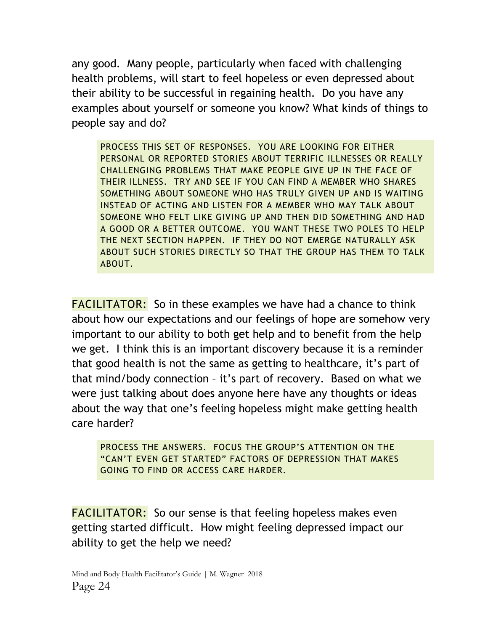any good. Many people, particularly when faced with challenging health problems, will start to feel hopeless or even depressed about their ability to be successful in regaining health. Do you have any examples about yourself or someone you know? What kinds of things to people say and do?

PROCESS THIS SET OF RESPONSES. YOU ARE LOOKING FOR EITHER PERSONAL OR REPORTED STORIES ABOUT TERRIFIC ILLNESSES OR REALLY CHALLENGING PROBLEMS THAT MAKE PEOPLE GIVE UP IN THE FACE OF THEIR ILLNESS. TRY AND SEE IF YOU CAN FIND A MEMBER WHO SHARES SOMETHING ABOUT SOMEONE WHO HAS TRULY GIVEN UP AND IS WAITING INSTEAD OF ACTING AND LISTEN FOR A MEMBER WHO MAY TALK ABOUT SOMEONE WHO FELT LIKE GIVING UP AND THEN DID SOMETHING AND HAD A GOOD OR A BETTER OUTCOME. YOU WANT THESE TWO POLES TO HELP THE NEXT SECTION HAPPEN. IF THEY DO NOT EMERGE NATURALLY ASK ABOUT SUCH STORIES DIRECTLY SO THAT THE GROUP HAS THEM TO TALK ABOUT.

FACILITATOR: So in these examples we have had a chance to think about how our expectations and our feelings of hope are somehow very important to our ability to both get help and to benefit from the help we get. I think this is an important discovery because it is a reminder that good health is not the same as getting to healthcare, it's part of that mind/body connection – it's part of recovery. Based on what we were just talking about does anyone here have any thoughts or ideas about the way that one's feeling hopeless might make getting health care harder?

PROCESS THE ANSWERS. FOCUS THE GROUP'S ATTENTION ON THE "CAN'T EVEN GET STARTED" FACTORS OF DEPRESSION THAT MAKES GOING TO FIND OR ACCESS CARE HARDER.

FACILITATOR: So our sense is that feeling hopeless makes even getting started difficult. How might feeling depressed impact our ability to get the help we need?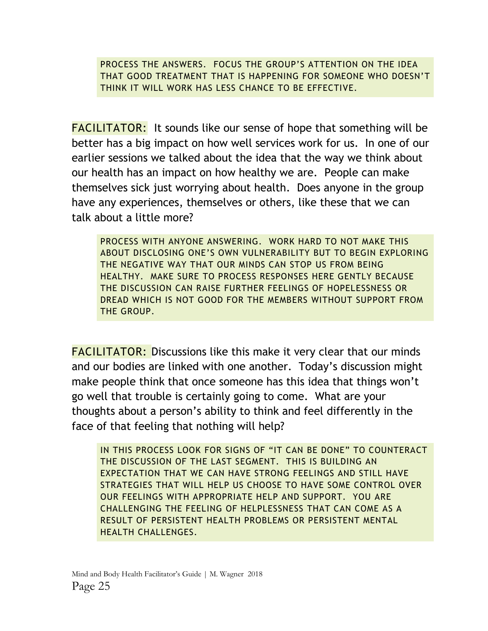PROCESS THE ANSWERS. FOCUS THE GROUP'S ATTENTION ON THE IDEA THAT GOOD TREATMENT THAT IS HAPPENING FOR SOMEONE WHO DOESN'T THINK IT WILL WORK HAS LESS CHANCE TO BE EFFECTIVE.

FACILITATOR: It sounds like our sense of hope that something will be better has a big impact on how well services work for us. In one of our earlier sessions we talked about the idea that the way we think about our health has an impact on how healthy we are. People can make themselves sick just worrying about health. Does anyone in the group have any experiences, themselves or others, like these that we can talk about a little more?

PROCESS WITH ANYONE ANSWERING. WORK HARD TO NOT MAKE THIS ABOUT DISCLOSING ONE'S OWN VULNERABILITY BUT TO BEGIN EXPLORING THE NEGATIVE WAY THAT OUR MINDS CAN STOP US FROM BEING HEALTHY. MAKE SURE TO PROCESS RESPONSES HERE GENTLY BECAUSE THE DISCUSSION CAN RAISE FURTHER FEELINGS OF HOPELESSNESS OR DREAD WHICH IS NOT GOOD FOR THE MEMBERS WITHOUT SUPPORT FROM THE GROUP.

FACILITATOR: Discussions like this make it very clear that our minds and our bodies are linked with one another. Today's discussion might make people think that once someone has this idea that things won't go well that trouble is certainly going to come. What are your thoughts about a person's ability to think and feel differently in the face of that feeling that nothing will help?

IN THIS PROCESS LOOK FOR SIGNS OF "IT CAN BE DONE" TO COUNTERACT THE DISCUSSION OF THE LAST SEGMENT. THIS IS BUILDING AN EXPECTATION THAT WE CAN HAVE STRONG FEELINGS AND STILL HAVE STRATEGIES THAT WILL HELP US CHOOSE TO HAVE SOME CONTROL OVER OUR FEELINGS WITH APPROPRIATE HELP AND SUPPORT. YOU ARE CHALLENGING THE FEELING OF HELPLESSNESS THAT CAN COME AS A RESULT OF PERSISTENT HEALTH PROBLEMS OR PERSISTENT MENTAL HEALTH CHALLENGES.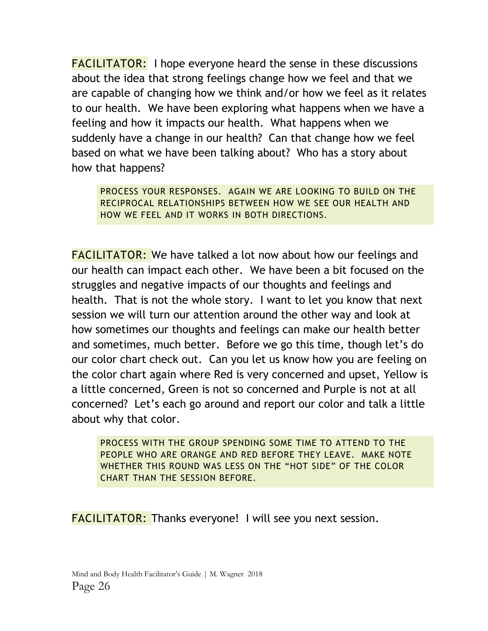FACILITATOR: I hope everyone heard the sense in these discussions about the idea that strong feelings change how we feel and that we are capable of changing how we think and/or how we feel as it relates to our health. We have been exploring what happens when we have a feeling and how it impacts our health. What happens when we suddenly have a change in our health? Can that change how we feel based on what we have been talking about? Who has a story about how that happens?

PROCESS YOUR RESPONSES. AGAIN WE ARE LOOKING TO BUILD ON THE RECIPROCAL RELATIONSHIPS BETWEEN HOW WE SEE OUR HEALTH AND HOW WE FEEL AND IT WORKS IN BOTH DIRECTIONS.

FACILITATOR: We have talked a lot now about how our feelings and our health can impact each other. We have been a bit focused on the struggles and negative impacts of our thoughts and feelings and health. That is not the whole story. I want to let you know that next session we will turn our attention around the other way and look at how sometimes our thoughts and feelings can make our health better and sometimes, much better. Before we go this time, though let's do our color chart check out. Can you let us know how you are feeling on the color chart again where Red is very concerned and upset, Yellow is a little concerned, Green is not so concerned and Purple is not at all concerned? Let's each go around and report our color and talk a little about why that color.

PROCESS WITH THE GROUP SPENDING SOME TIME TO ATTEND TO THE PEOPLE WHO ARE ORANGE AND RED BEFORE THEY LEAVE. MAKE NOTE WHETHER THIS ROUND WAS LESS ON THE "HOT SIDE" OF THE COLOR CHART THAN THE SESSION BEFORE.

FACILITATOR: Thanks everyone! I will see you next session.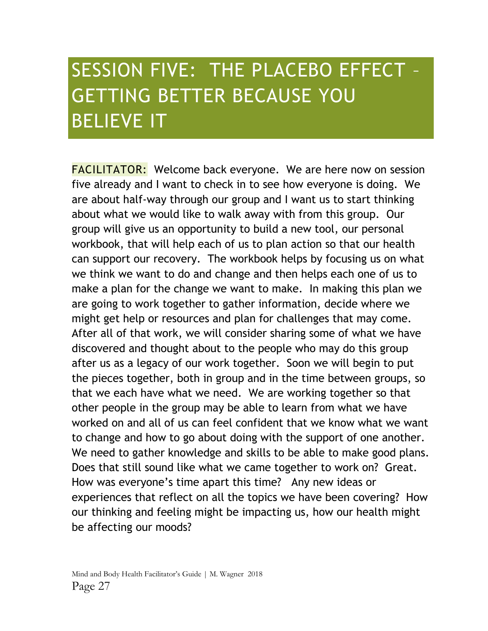# SESSION FIVE: THE PLACEBO EFFECT – GETTING BETTER BECAUSE YOU BELIEVE IT

FACILITATOR: Welcome back everyone. We are here now on session five already and I want to check in to see how everyone is doing. We are about half-way through our group and I want us to start thinking about what we would like to walk away with from this group. Our group will give us an opportunity to build a new tool, our personal workbook, that will help each of us to plan action so that our health can support our recovery. The workbook helps by focusing us on what we think we want to do and change and then helps each one of us to make a plan for the change we want to make. In making this plan we are going to work together to gather information, decide where we might get help or resources and plan for challenges that may come. After all of that work, we will consider sharing some of what we have discovered and thought about to the people who may do this group after us as a legacy of our work together. Soon we will begin to put the pieces together, both in group and in the time between groups, so that we each have what we need. We are working together so that other people in the group may be able to learn from what we have worked on and all of us can feel confident that we know what we want to change and how to go about doing with the support of one another. We need to gather knowledge and skills to be able to make good plans. Does that still sound like what we came together to work on? Great. How was everyone's time apart this time? Any new ideas or experiences that reflect on all the topics we have been covering? How our thinking and feeling might be impacting us, how our health might be affecting our moods?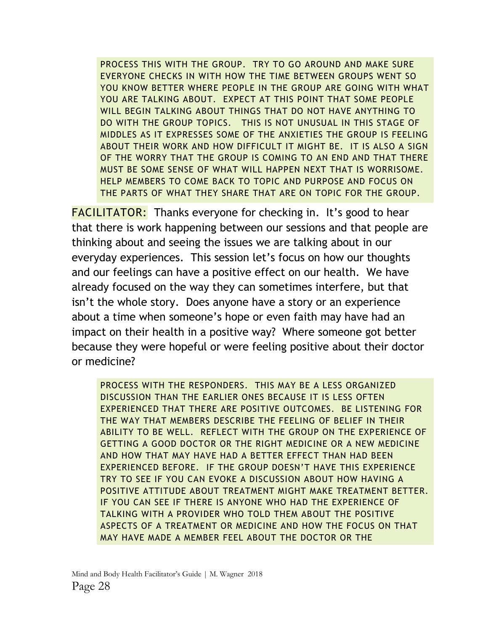PROCESS THIS WITH THE GROUP. TRY TO GO AROUND AND MAKE SURE EVERYONE CHECKS IN WITH HOW THE TIME BETWEEN GROUPS WENT SO YOU KNOW BETTER WHERE PEOPLE IN THE GROUP ARE GOING WITH WHAT YOU ARE TALKING ABOUT. EXPECT AT THIS POINT THAT SOME PEOPLE WILL BEGIN TALKING ABOUT THINGS THAT DO NOT HAVE ANYTHING TO DO WITH THE GROUP TOPICS. THIS IS NOT UNUSUAL IN THIS STAGE OF MIDDLES AS IT EXPRESSES SOME OF THE ANXIETIES THE GROUP IS FEELING ABOUT THEIR WORK AND HOW DIFFICULT IT MIGHT BE. IT IS ALSO A SIGN OF THE WORRY THAT THE GROUP IS COMING TO AN END AND THAT THERE MUST BE SOME SENSE OF WHAT WILL HAPPEN NEXT THAT IS WORRISOME. HELP MEMBERS TO COME BACK TO TOPIC AND PURPOSE AND FOCUS ON THE PARTS OF WHAT THEY SHARE THAT ARE ON TOPIC FOR THE GROUP.

FACILITATOR: Thanks everyone for checking in. It's good to hear that there is work happening between our sessions and that people are thinking about and seeing the issues we are talking about in our everyday experiences. This session let's focus on how our thoughts and our feelings can have a positive effect on our health. We have already focused on the way they can sometimes interfere, but that isn't the whole story. Does anyone have a story or an experience about a time when someone's hope or even faith may have had an impact on their health in a positive way? Where someone got better because they were hopeful or were feeling positive about their doctor or medicine?

PROCESS WITH THE RESPONDERS. THIS MAY BE A LESS ORGANIZED DISCUSSION THAN THE EARLIER ONES BECAUSE IT IS LESS OFTEN EXPERIENCED THAT THERE ARE POSITIVE OUTCOMES. BE LISTENING FOR THE WAY THAT MEMBERS DESCRIBE THE FEELING OF BELIEF IN THEIR ABILITY TO BE WELL. REFLECT WITH THE GROUP ON THE EXPERIENCE OF GETTING A GOOD DOCTOR OR THE RIGHT MEDICINE OR A NEW MEDICINE AND HOW THAT MAY HAVE HAD A BETTER EFFECT THAN HAD BEEN EXPERIENCED BEFORE. IF THE GROUP DOESN'T HAVE THIS EXPERIENCE TRY TO SEE IF YOU CAN EVOKE A DISCUSSION ABOUT HOW HAVING A POSITIVE ATTITUDE ABOUT TREATMENT MIGHT MAKE TREATMENT BETTER. IF YOU CAN SEE IF THERE IS ANYONE WHO HAD THE EXPERIENCE OF TALKING WITH A PROVIDER WHO TOLD THEM ABOUT THE POSITIVE ASPECTS OF A TREATMENT OR MEDICINE AND HOW THE FOCUS ON THAT MAY HAVE MADE A MEMBER FEEL ABOUT THE DOCTOR OR THE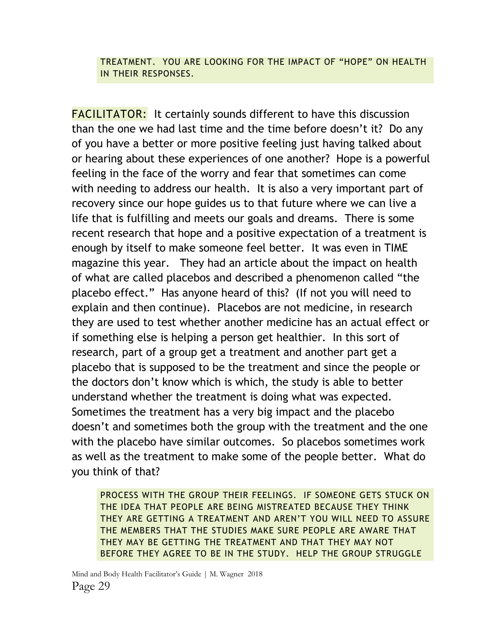#### TREATMENT. YOU ARE LOOKING FOR THE IMPACT OF "HOPE" ON HEALTH IN THEIR RESPONSES.

FACILITATOR: It certainly sounds different to have this discussion than the one we had last time and the time before doesn't it? Do any of you have a better or more positive feeling just having talked about or hearing about these experiences of one another? Hope is a powerful feeling in the face of the worry and fear that sometimes can come with needing to address our health. It is also a very important part of recovery since our hope guides us to that future where we can live a life that is fulfilling and meets our goals and dreams. There is some recent research that hope and a positive expectation of a treatment is enough by itself to make someone feel better. It was even in TIME magazine this year. They had an article about the impact on health of what are called placebos and described a phenomenon called "the placebo effect." Has anyone heard of this? (If not you will need to explain and then continue). Placebos are not medicine, in research they are used to test whether another medicine has an actual effect or if something else is helping a person get healthier. In this sort of research, part of a group get a treatment and another part get a placebo that is supposed to be the treatment and since the people or the doctors don't know which is which, the study is able to better understand whether the treatment is doing what was expected. Sometimes the treatment has a very big impact and the placebo doesn't and sometimes both the group with the treatment and the one with the placebo have similar outcomes. So placebos sometimes work as well as the treatment to make some of the people better. What do you think of that?

PROCESS WITH THE GROUP THEIR FEELINGS. IF SOMEONE GETS STUCK ON THE IDEA THAT PEOPLE ARE BEING MISTREATED BECAUSE THEY THINK THEY ARE GETTING A TREATMENT AND AREN'T YOU WILL NEED TO ASSURE THE MEMBERS THAT THE STUDIES MAKE SURE PEOPLE ARE AWARE THAT THEY MAY BE GETTING THE TREATMENT AND THAT THEY MAY NOT BEFORE THEY AGREE TO BE IN THE STUDY. HELP THE GROUP STRUGGLE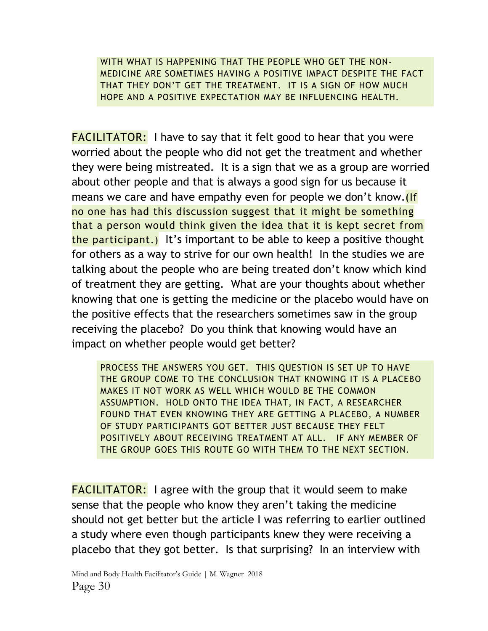WITH WHAT IS HAPPENING THAT THE PEOPLE WHO GET THE NON-MEDICINE ARE SOMETIMES HAVING A POSITIVE IMPACT DESPITE THE FACT THAT THEY DON'T GET THE TREATMENT. IT IS A SIGN OF HOW MUCH HOPE AND A POSITIVE EXPECTATION MAY BE INFLUENCING HEALTH.

**FACILITATOR:** I have to say that it felt good to hear that you were worried about the people who did not get the treatment and whether they were being mistreated. It is a sign that we as a group are worried about other people and that is always a good sign for us because it means we care and have empathy even for people we don't know. no one has had this discussion suggest that it might be something that a person would think given the idea that it is kept secret from the participant.) It's important to be able to keep a positive thought for others as a way to strive for our own health! In the studies we are talking about the people who are being treated don't know which kind of treatment they are getting. What are your thoughts about whether knowing that one is getting the medicine or the placebo would have on the positive effects that the researchers sometimes saw in the group receiving the placebo? Do you think that knowing would have an impact on whether people would get better?

PROCESS THE ANSWERS YOU GET. THIS QUESTION IS SET UP TO HAVE THE GROUP COME TO THE CONCLUSION THAT KNOWING IT IS A PLACEBO MAKES IT NOT WORK AS WELL WHICH WOULD BE THE COMMON ASSUMPTION. HOLD ONTO THE IDEA THAT, IN FACT, A RESEARCHER FOUND THAT EVEN KNOWING THEY ARE GETTING A PLACEBO, A NUMBER OF STUDY PARTICIPANTS GOT BETTER JUST BECAUSE THEY FELT POSITIVELY ABOUT RECEIVING TREATMENT AT ALL. IF ANY MEMBER OF THE GROUP GOES THIS ROUTE GO WITH THEM TO THE NEXT SECTION.

**FACILITATOR:** I agree with the group that it would seem to make sense that the people who know they aren't taking the medicine should not get better but the article I was referring to earlier outlined a study where even though participants knew they were receiving a placebo that they got better. Is that surprising? In an interview with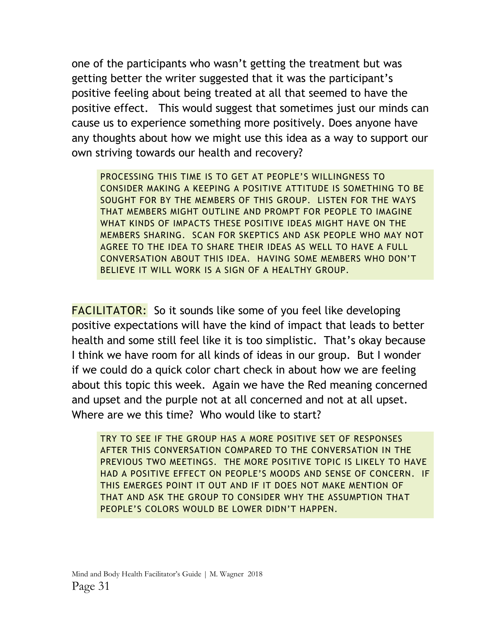one of the participants who wasn't getting the treatment but was getting better the writer suggested that it was the participant's positive feeling about being treated at all that seemed to have the positive effect. This would suggest that sometimes just our minds can cause us to experience something more positively. Does anyone have any thoughts about how we might use this idea as a way to support our own striving towards our health and recovery?

PROCESSING THIS TIME IS TO GET AT PEOPLE'S WILLINGNESS TO CONSIDER MAKING A KEEPING A POSITIVE ATTITUDE IS SOMETHING TO BE SOUGHT FOR BY THE MEMBERS OF THIS GROUP. LISTEN FOR THE WAYS THAT MEMBERS MIGHT OUTLINE AND PROMPT FOR PEOPLE TO IMAGINE WHAT KINDS OF IMPACTS THESE POSITIVE IDEAS MIGHT HAVE ON THE MEMBERS SHARING. SCAN FOR SKEPTICS AND ASK PEOPLE WHO MAY NOT AGREE TO THE IDEA TO SHARE THEIR IDEAS AS WELL TO HAVE A FULL CONVERSATION ABOUT THIS IDEA. HAVING SOME MEMBERS WHO DON'T BELIEVE IT WILL WORK IS A SIGN OF A HEALTHY GROUP.

FACILITATOR: So it sounds like some of you feel like developing positive expectations will have the kind of impact that leads to better health and some still feel like it is too simplistic. That's okay because I think we have room for all kinds of ideas in our group. But I wonder if we could do a quick color chart check in about how we are feeling about this topic this week. Again we have the Red meaning concerned and upset and the purple not at all concerned and not at all upset. Where are we this time? Who would like to start?

TRY TO SEE IF THE GROUP HAS A MORE POSITIVE SET OF RESPONSES AFTER THIS CONVERSATION COMPARED TO THE CONVERSATION IN THE PREVIOUS TWO MEETINGS. THE MORE POSITIVE TOPIC IS LIKELY TO HAVE HAD A POSITIVE EFFECT ON PEOPLE'S MOODS AND SENSE OF CONCERN. IF THIS EMERGES POINT IT OUT AND IF IT DOES NOT MAKE MENTION OF THAT AND ASK THE GROUP TO CONSIDER WHY THE ASSUMPTION THAT PEOPLE'S COLORS WOULD BE LOWER DIDN'T HAPPEN.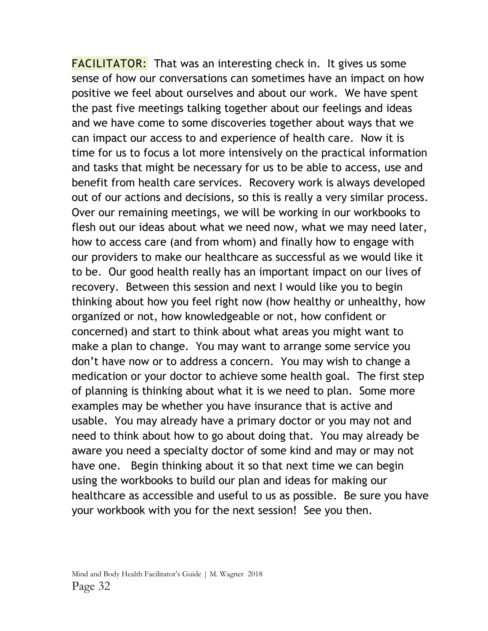**FACILITATOR:** That was an interesting check in. It gives us some sense of how our conversations can sometimes have an impact on how positive we feel about ourselves and about our work. We have spent the past five meetings talking together about our feelings and ideas and we have come to some discoveries together about ways that we can impact our access to and experience of health care. Now it is time for us to focus a lot more intensively on the practical information and tasks that might be necessary for us to be able to access, use and benefit from health care services. Recovery work is always developed out of our actions and decisions, so this is really a very similar process. Over our remaining meetings, we will be working in our workbooks to flesh out our ideas about what we need now, what we may need later, how to access care (and from whom) and finally how to engage with our providers to make our healthcare as successful as we would like it to be. Our good health really has an important impact on our lives of recovery. Between this session and next I would like you to begin thinking about how you feel right now (how healthy or unhealthy, how organized or not, how knowledgeable or not, how confident or concerned) and start to think about what areas you might want to make a plan to change. You may want to arrange some service you don't have now or to address a concern. You may wish to change a medication or your doctor to achieve some health goal. The first step of planning is thinking about what it is we need to plan. Some more examples may be whether you have insurance that is active and usable. You may already have a primary doctor or you may not and need to think about how to go about doing that. You may already be aware you need a specialty doctor of some kind and may or may not have one. Begin thinking about it so that next time we can begin using the workbooks to build our plan and ideas for making our healthcare as accessible and useful to us as possible. Be sure you have your workbook with you for the next session! See you then.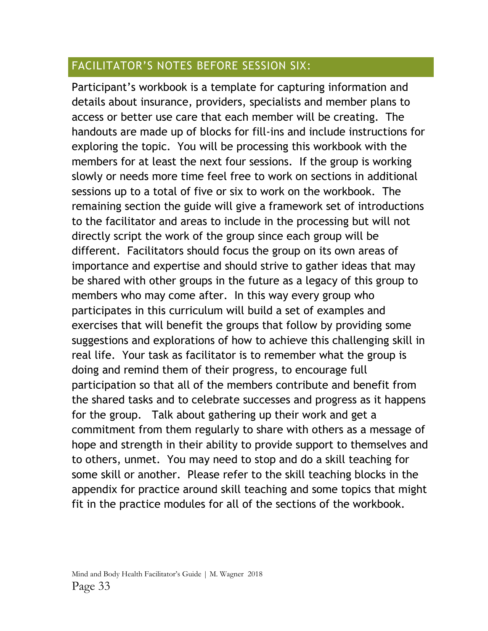### FACILITATOR'S NOTES BEFORE SESSION SIX:

Participant's workbook is a template for capturing information and details about insurance, providers, specialists and member plans to access or better use care that each member will be creating. The handouts are made up of blocks for fill-ins and include instructions for exploring the topic. You will be processing this workbook with the members for at least the next four sessions. If the group is working slowly or needs more time feel free to work on sections in additional sessions up to a total of five or six to work on the workbook. The remaining section the guide will give a framework set of introductions to the facilitator and areas to include in the processing but will not directly script the work of the group since each group will be different. Facilitators should focus the group on its own areas of importance and expertise and should strive to gather ideas that may be shared with other groups in the future as a legacy of this group to members who may come after. In this way every group who participates in this curriculum will build a set of examples and exercises that will benefit the groups that follow by providing some suggestions and explorations of how to achieve this challenging skill in real life. Your task as facilitator is to remember what the group is doing and remind them of their progress, to encourage full participation so that all of the members contribute and benefit from the shared tasks and to celebrate successes and progress as it happens for the group. Talk about gathering up their work and get a commitment from them regularly to share with others as a message of hope and strength in their ability to provide support to themselves and to others, unmet. You may need to stop and do a skill teaching for some skill or another. Please refer to the skill teaching blocks in the appendix for practice around skill teaching and some topics that might fit in the practice modules for all of the sections of the workbook.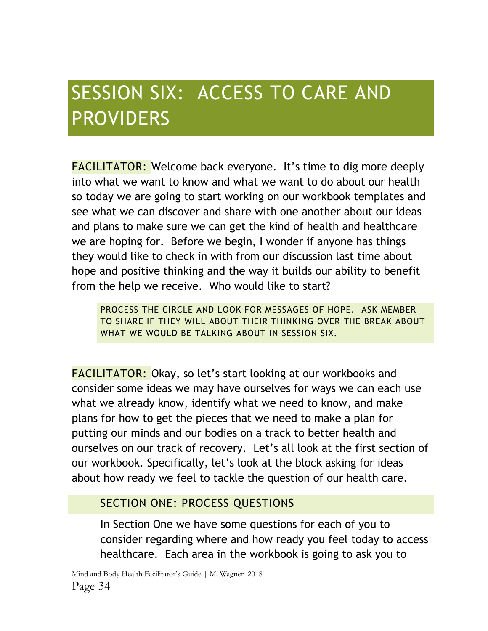# SESSION SIX: ACCESS TO CARE AND PROVIDERS

FACILITATOR: Welcome back everyone. It's time to dig more deeply into what we want to know and what we want to do about our health so today we are going to start working on our workbook templates and see what we can discover and share with one another about our ideas and plans to make sure we can get the kind of health and healthcare we are hoping for. Before we begin, I wonder if anyone has things they would like to check in with from our discussion last time about hope and positive thinking and the way it builds our ability to benefit from the help we receive. Who would like to start?

PROCESS THE CIRCLE AND LOOK FOR MESSAGES OF HOPE. ASK MEMBER TO SHARE IF THEY WILL ABOUT THEIR THINKING OVER THE BREAK ABOUT WHAT WE WOULD BE TALKING ABOUT IN SESSION SIX.

FACILITATOR: Okay, so let's start looking at our workbooks and consider some ideas we may have ourselves for ways we can each use what we already know, identify what we need to know, and make plans for how to get the pieces that we need to make a plan for putting our minds and our bodies on a track to better health and ourselves on our track of recovery. Let's all look at the first section of our workbook. Specifically, let's look at the block asking for ideas about how ready we feel to tackle the question of our health care.

#### SECTION ONE: PROCESS QUESTIONS

In Section One we have some questions for each of you to consider regarding where and how ready you feel today to access healthcare. Each area in the workbook is going to ask you to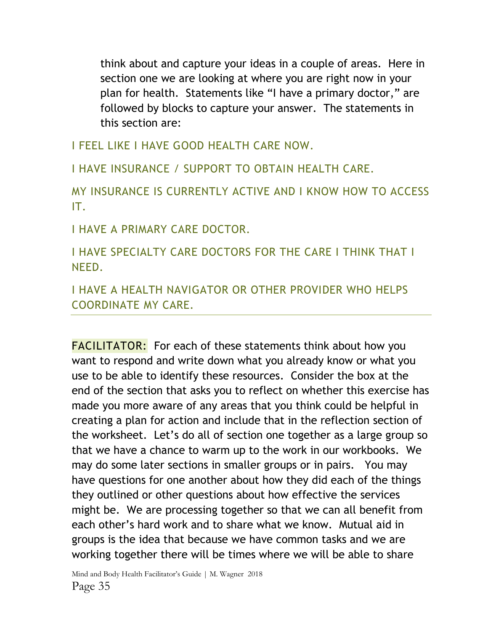think about and capture your ideas in a couple of areas. Here in section one we are looking at where you are right now in your plan for health. Statements like "I have a primary doctor," are followed by blocks to capture your answer. The statements in this section are:

I FEEL LIKE I HAVE GOOD HEALTH CARE NOW.

I HAVE INSURANCE / SUPPORT TO OBTAIN HEALTH CARE.

MY INSURANCE IS CURRENTLY ACTIVE AND I KNOW HOW TO ACCESS IT.

I HAVE A PRIMARY CARE DOCTOR.

I HAVE SPECIALTY CARE DOCTORS FOR THE CARE I THINK THAT I NEED.

I HAVE A HEALTH NAVIGATOR OR OTHER PROVIDER WHO HELPS COORDINATE MY CARE.

FACILITATOR: For each of these statements think about how you want to respond and write down what you already know or what you use to be able to identify these resources. Consider the box at the end of the section that asks you to reflect on whether this exercise has made you more aware of any areas that you think could be helpful in creating a plan for action and include that in the reflection section of the worksheet. Let's do all of section one together as a large group so that we have a chance to warm up to the work in our workbooks. We may do some later sections in smaller groups or in pairs. You may have questions for one another about how they did each of the things they outlined or other questions about how effective the services might be. We are processing together so that we can all benefit from each other's hard work and to share what we know. Mutual aid in groups is the idea that because we have common tasks and we are working together there will be times where we will be able to share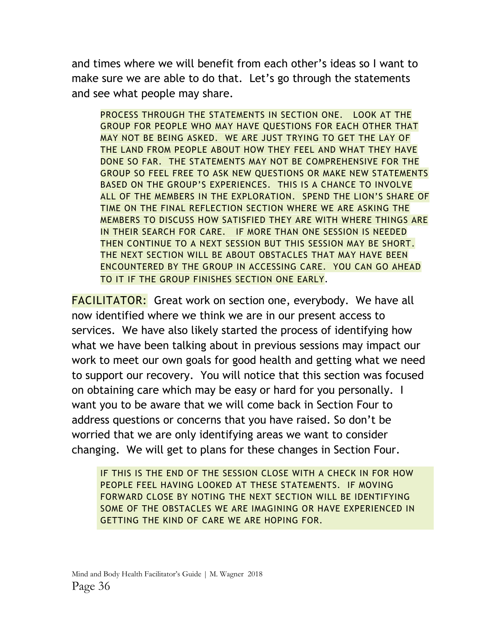and times where we will benefit from each other's ideas so I want to make sure we are able to do that. Let's go through the statements and see what people may share.

PROCESS THROUGH THE STATEMENTS IN SECTION ONE. LOOK AT THE GROUP FOR PEOPLE WHO MAY HAVE QUESTIONS FOR EACH OTHER THAT MAY NOT BE BEING ASKED. WE ARE JUST TRYING TO GET THE LAY OF THE LAND FROM PEOPLE ABOUT HOW THEY FEEL AND WHAT THEY HAVE DONE SO FAR. THE STATEMENTS MAY NOT BE COMPREHENSIVE FOR THE GROUP SO FEEL FREE TO ASK NEW QUESTIONS OR MAKE NEW STATEMENTS BASED ON THE GROUP'S EXPERIENCES. THIS IS A CHANCE TO INVOLVE ALL OF THE MEMBERS IN THE EXPLORATION. SPEND THE LION'S SHARE OF TIME ON THE FINAL REFLECTION SECTION WHERE WE ARE ASKING THE MEMBERS TO DISCUSS HOW SATISFIED THEY ARE WITH WHERE THINGS ARE IN THEIR SEARCH FOR CARE. IF MORE THAN ONE SESSION IS NEEDED THEN CONTINUE TO A NEXT SESSION BUT THIS SESSION MAY BE SHORT. THE NEXT SECTION WILL BE ABOUT OBSTACLES THAT MAY HAVE BEEN ENCOUNTERED BY THE GROUP IN ACCESSING CARE. YOU CAN GO AHEAD TO IT IF THE GROUP FINISHES SECTION ONE EARLY.

**FACILITATOR:** Great work on section one, everybody. We have all now identified where we think we are in our present access to services. We have also likely started the process of identifying how what we have been talking about in previous sessions may impact our work to meet our own goals for good health and getting what we need to support our recovery. You will notice that this section was focused on obtaining care which may be easy or hard for you personally. I want you to be aware that we will come back in Section Four to address questions or concerns that you have raised. So don't be worried that we are only identifying areas we want to consider changing. We will get to plans for these changes in Section Four.

IF THIS IS THE END OF THE SESSION CLOSE WITH A CHECK IN FOR HOW PEOPLE FEEL HAVING LOOKED AT THESE STATEMENTS. IF MOVING FORWARD CLOSE BY NOTING THE NEXT SECTION WILL BE IDENTIFYING SOME OF THE OBSTACLES WE ARE IMAGINING OR HAVE EXPERIENCED IN GETTING THE KIND OF CARE WE ARE HOPING FOR.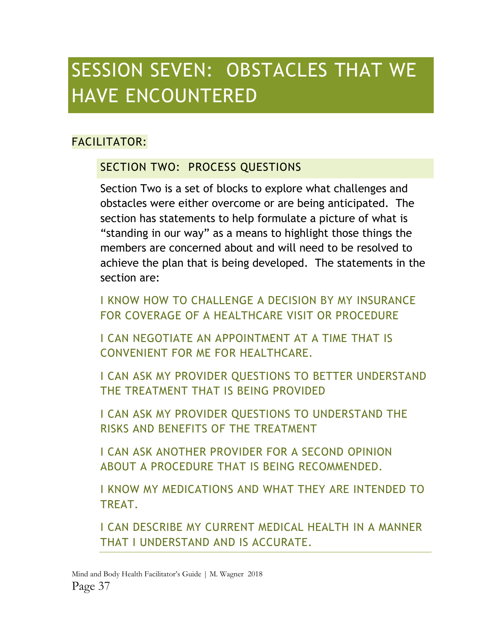### SESSION SEVEN: OBSTACLES THAT WE HAVE ENCOUNTERED

### FACILITATOR:

### SECTION TWO: PROCESS QUESTIONS

Section Two is a set of blocks to explore what challenges and obstacles were either overcome or are being anticipated. The section has statements to help formulate a picture of what is "standing in our way" as a means to highlight those things the members are concerned about and will need to be resolved to achieve the plan that is being developed. The statements in the section are:

I KNOW HOW TO CHALLENGE A DECISION BY MY INSURANCE FOR COVERAGE OF A HEALTHCARE VISIT OR PROCEDURE

I CAN NEGOTIATE AN APPOINTMENT AT A TIME THAT IS CONVENIENT FOR ME FOR HEALTHCARE.

I CAN ASK MY PROVIDER QUESTIONS TO BETTER UNDERSTAND THE TREATMENT THAT IS BEING PROVIDED

I CAN ASK MY PROVIDER QUESTIONS TO UNDERSTAND THE RISKS AND BENEFITS OF THE TREATMENT

I CAN ASK ANOTHER PROVIDER FOR A SECOND OPINION ABOUT A PROCEDURE THAT IS BEING RECOMMENDED.

I KNOW MY MEDICATIONS AND WHAT THEY ARE INTENDED TO TREAT.

I CAN DESCRIBE MY CURRENT MEDICAL HEALTH IN A MANNER THAT I UNDERSTAND AND IS ACCURATE.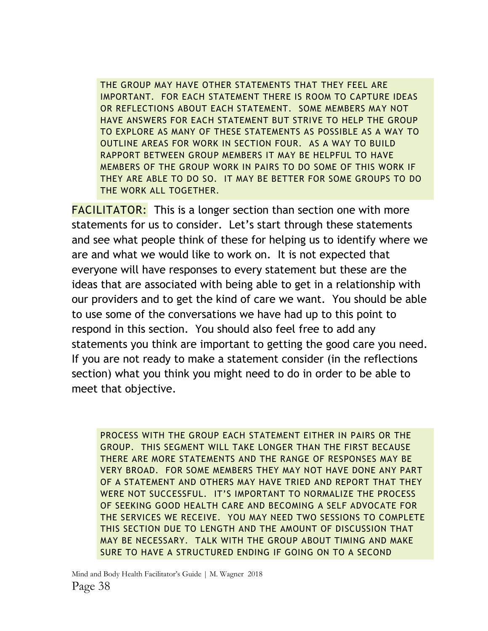THE GROUP MAY HAVE OTHER STATEMENTS THAT THEY FEEL ARE IMPORTANT. FOR EACH STATEMENT THERE IS ROOM TO CAPTURE IDEAS OR REFLECTIONS ABOUT EACH STATEMENT. SOME MEMBERS MAY NOT HAVE ANSWERS FOR EACH STATEMENT BUT STRIVE TO HELP THE GROUP TO EXPLORE AS MANY OF THESE STATEMENTS AS POSSIBLE AS A WAY TO OUTLINE AREAS FOR WORK IN SECTION FOUR. AS A WAY TO BUILD RAPPORT BETWEEN GROUP MEMBERS IT MAY BE HELPFUL TO HAVE MEMBERS OF THE GROUP WORK IN PAIRS TO DO SOME OF THIS WORK IF THEY ARE ABLE TO DO SO. IT MAY BE BETTER FOR SOME GROUPS TO DO THE WORK ALL TOGETHER.

**FACILITATOR:** This is a longer section than section one with more statements for us to consider. Let's start through these statements and see what people think of these for helping us to identify where we are and what we would like to work on. It is not expected that everyone will have responses to every statement but these are the ideas that are associated with being able to get in a relationship with our providers and to get the kind of care we want. You should be able to use some of the conversations we have had up to this point to respond in this section. You should also feel free to add any statements you think are important to getting the good care you need. If you are not ready to make a statement consider (in the reflections section) what you think you might need to do in order to be able to meet that objective.

PROCESS WITH THE GROUP EACH STATEMENT EITHER IN PAIRS OR THE GROUP. THIS SEGMENT WILL TAKE LONGER THAN THE FIRST BECAUSE THERE ARE MORE STATEMENTS AND THE RANGE OF RESPONSES MAY BE VERY BROAD. FOR SOME MEMBERS THEY MAY NOT HAVE DONE ANY PART OF A STATEMENT AND OTHERS MAY HAVE TRIED AND REPORT THAT THEY WERE NOT SUCCESSFUL. IT'S IMPORTANT TO NORMALIZE THE PROCESS OF SEEKING GOOD HEALTH CARE AND BECOMING A SELF ADVOCATE FOR THE SERVICES WE RECEIVE. YOU MAY NEED TWO SESSIONS TO COMPLETE THIS SECTION DUE TO LENGTH AND THE AMOUNT OF DISCUSSION THAT MAY BE NECESSARY. TALK WITH THE GROUP ABOUT TIMING AND MAKE SURE TO HAVE A STRUCTURED ENDING IF GOING ON TO A SECOND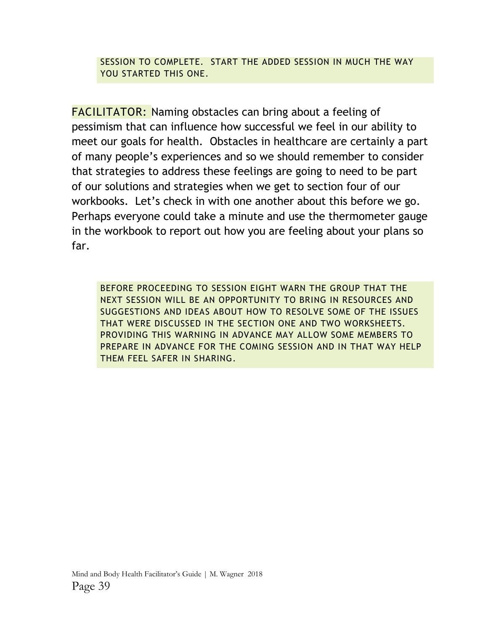SESSION TO COMPLETE. START THE ADDED SESSION IN MUCH THE WAY YOU STARTED THIS ONE.

FACILITATOR: Naming obstacles can bring about a feeling of pessimism that can influence how successful we feel in our ability to meet our goals for health. Obstacles in healthcare are certainly a part of many people's experiences and so we should remember to consider that strategies to address these feelings are going to need to be part of our solutions and strategies when we get to section four of our workbooks. Let's check in with one another about this before we go. Perhaps everyone could take a minute and use the thermometer gauge in the workbook to report out how you are feeling about your plans so far.

BEFORE PROCEEDING TO SESSION EIGHT WARN THE GROUP THAT THE NEXT SESSION WILL BE AN OPPORTUNITY TO BRING IN RESOURCES AND SUGGESTIONS AND IDEAS ABOUT HOW TO RESOLVE SOME OF THE ISSUES THAT WERE DISCUSSED IN THE SECTION ONE AND TWO WORKSHEETS. PROVIDING THIS WARNING IN ADVANCE MAY ALLOW SOME MEMBERS TO PREPARE IN ADVANCE FOR THE COMING SESSION AND IN THAT WAY HELP THEM FEEL SAFER IN SHARING.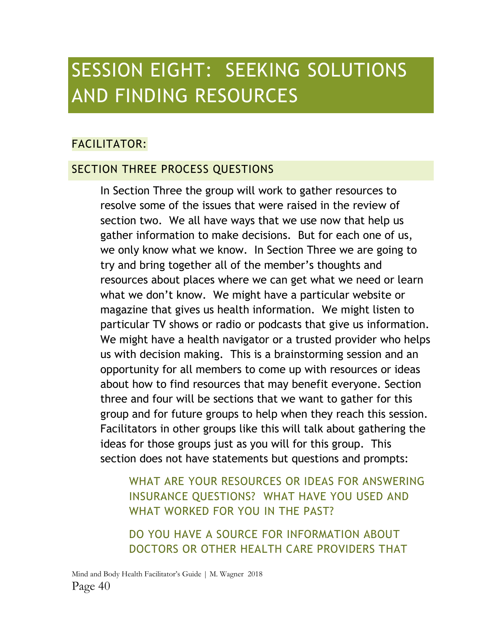### SESSION EIGHT: SEEKING SOLUTIONS AND FINDING RESOURCES

### FACILITATOR:

#### SECTION THREE PROCESS QUESTIONS

In Section Three the group will work to gather resources to resolve some of the issues that were raised in the review of section two. We all have ways that we use now that help us gather information to make decisions. But for each one of us, we only know what we know. In Section Three we are going to try and bring together all of the member's thoughts and resources about places where we can get what we need or learn what we don't know. We might have a particular website or magazine that gives us health information. We might listen to particular TV shows or radio or podcasts that give us information. We might have a health navigator or a trusted provider who helps us with decision making. This is a brainstorming session and an opportunity for all members to come up with resources or ideas about how to find resources that may benefit everyone. Section three and four will be sections that we want to gather for this group and for future groups to help when they reach this session. Facilitators in other groups like this will talk about gathering the ideas for those groups just as you will for this group. This section does not have statements but questions and prompts:

WHAT ARE YOUR RESOURCES OR IDEAS FOR ANSWERING INSURANCE QUESTIONS? WHAT HAVE YOU USED AND WHAT WORKED FOR YOU IN THE PAST?

DO YOU HAVE A SOURCE FOR INFORMATION ABOUT DOCTORS OR OTHER HEALTH CARE PROVIDERS THAT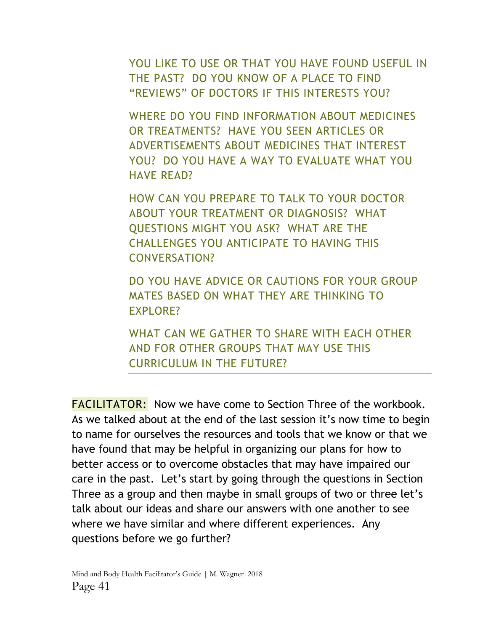YOU LIKE TO USE OR THAT YOU HAVE FOUND USEFUL IN THE PAST? DO YOU KNOW OF A PLACE TO FIND "REVIEWS" OF DOCTORS IF THIS INTERESTS YOU?

WHERE DO YOU FIND INFORMATION ABOUT MEDICINES OR TREATMENTS? HAVE YOU SEEN ARTICLES OR ADVERTISEMENTS ABOUT MEDICINES THAT INTEREST YOU? DO YOU HAVE A WAY TO EVALUATE WHAT YOU HAVE READ?

HOW CAN YOU PREPARE TO TALK TO YOUR DOCTOR ABOUT YOUR TREATMENT OR DIAGNOSIS? WHAT QUESTIONS MIGHT YOU ASK? WHAT ARE THE CHALLENGES YOU ANTICIPATE TO HAVING THIS CONVERSATION?

DO YOU HAVE ADVICE OR CAUTIONS FOR YOUR GROUP MATES BASED ON WHAT THEY ARE THINKING TO EXPLORE?

WHAT CAN WE GATHER TO SHARE WITH EACH OTHER AND FOR OTHER GROUPS THAT MAY USE THIS CURRICULUM IN THE FUTURE?

FACILITATOR: Now we have come to Section Three of the workbook. As we talked about at the end of the last session it's now time to begin to name for ourselves the resources and tools that we know or that we have found that may be helpful in organizing our plans for how to better access or to overcome obstacles that may have impaired our care in the past. Let's start by going through the questions in Section Three as a group and then maybe in small groups of two or three let's talk about our ideas and share our answers with one another to see where we have similar and where different experiences. Any questions before we go further?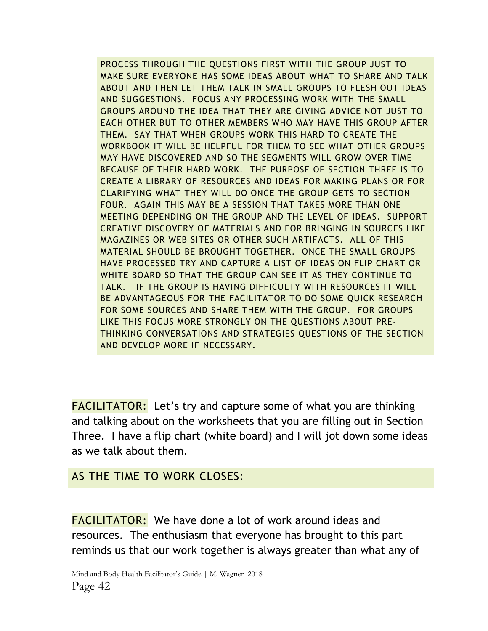PROCESS THROUGH THE QUESTIONS FIRST WITH THE GROUP JUST TO MAKE SURE EVERYONE HAS SOME IDEAS ABOUT WHAT TO SHARE AND TALK ABOUT AND THEN LET THEM TALK IN SMALL GROUPS TO FLESH OUT IDEAS AND SUGGESTIONS. FOCUS ANY PROCESSING WORK WITH THE SMALL GROUPS AROUND THE IDEA THAT THEY ARE GIVING ADVICE NOT JUST TO EACH OTHER BUT TO OTHER MEMBERS WHO MAY HAVE THIS GROUP AFTER THEM. SAY THAT WHEN GROUPS WORK THIS HARD TO CREATE THE WORKBOOK IT WILL BE HELPFUL FOR THEM TO SEE WHAT OTHER GROUPS MAY HAVE DISCOVERED AND SO THE SEGMENTS WILL GROW OVER TIME BECAUSE OF THEIR HARD WORK. THE PURPOSE OF SECTION THREE IS TO CREATE A LIBRARY OF RESOURCES AND IDEAS FOR MAKING PLANS OR FOR CLARIFYING WHAT THEY WILL DO ONCE THE GROUP GETS TO SECTION FOUR. AGAIN THIS MAY BE A SESSION THAT TAKES MORE THAN ONE MEETING DEPENDING ON THE GROUP AND THE LEVEL OF IDEAS. SUPPORT CREATIVE DISCOVERY OF MATERIALS AND FOR BRINGING IN SOURCES LIKE MAGAZINES OR WEB SITES OR OTHER SUCH ARTIFACTS. ALL OF THIS MATERIAL SHOULD BE BROUGHT TOGETHER. ONCE THE SMALL GROUPS HAVE PROCESSED TRY AND CAPTURE A LIST OF IDEAS ON FLIP CHART OR WHITE BOARD SO THAT THE GROUP CAN SEE IT AS THEY CONTINUE TO TALK. IF THE GROUP IS HAVING DIFFICULTY WITH RESOURCES IT WILL BE ADVANTAGEOUS FOR THE FACILITATOR TO DO SOME QUICK RESEARCH FOR SOME SOURCES AND SHARE THEM WITH THE GROUP. FOR GROUPS LIKE THIS FOCUS MORE STRONGLY ON THE QUESTIONS ABOUT PRE-THINKING CONVERSATIONS AND STRATEGIES QUESTIONS OF THE SECTION AND DEVELOP MORE IF NECESSARY.

FACILITATOR: Let's try and capture some of what you are thinking and talking about on the worksheets that you are filling out in Section Three. I have a flip chart (white board) and I will jot down some ideas as we talk about them.

#### AS THE TIME TO WORK CLOSES:

FACILITATOR: We have done a lot of work around ideas and resources. The enthusiasm that everyone has brought to this part reminds us that our work together is always greater than what any of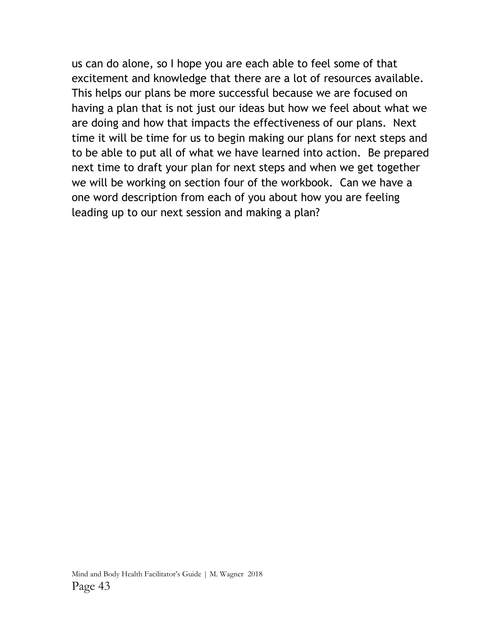us can do alone, so I hope you are each able to feel some of that excitement and knowledge that there are a lot of resources available. This helps our plans be more successful because we are focused on having a plan that is not just our ideas but how we feel about what we are doing and how that impacts the effectiveness of our plans. Next time it will be time for us to begin making our plans for next steps and to be able to put all of what we have learned into action. Be prepared next time to draft your plan for next steps and when we get together we will be working on section four of the workbook. Can we have a one word description from each of you about how you are feeling leading up to our next session and making a plan?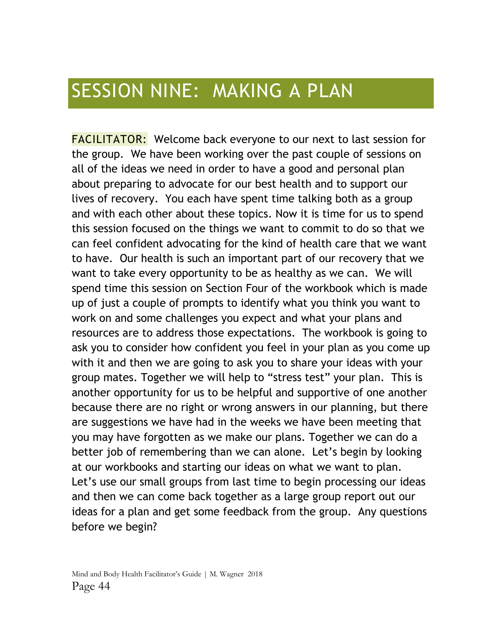### SESSION NINE: MAKING A PLAN

FACILITATOR: Welcome back everyone to our next to last session for the group. We have been working over the past couple of sessions on all of the ideas we need in order to have a good and personal plan about preparing to advocate for our best health and to support our lives of recovery. You each have spent time talking both as a group and with each other about these topics. Now it is time for us to spend this session focused on the things we want to commit to do so that we can feel confident advocating for the kind of health care that we want to have. Our health is such an important part of our recovery that we want to take every opportunity to be as healthy as we can. We will spend time this session on Section Four of the workbook which is made up of just a couple of prompts to identify what you think you want to work on and some challenges you expect and what your plans and resources are to address those expectations. The workbook is going to ask you to consider how confident you feel in your plan as you come up with it and then we are going to ask you to share your ideas with your group mates. Together we will help to "stress test" your plan. This is another opportunity for us to be helpful and supportive of one another because there are no right or wrong answers in our planning, but there are suggestions we have had in the weeks we have been meeting that you may have forgotten as we make our plans. Together we can do a better job of remembering than we can alone. Let's begin by looking at our workbooks and starting our ideas on what we want to plan. Let's use our small groups from last time to begin processing our ideas and then we can come back together as a large group report out our ideas for a plan and get some feedback from the group. Any questions before we begin?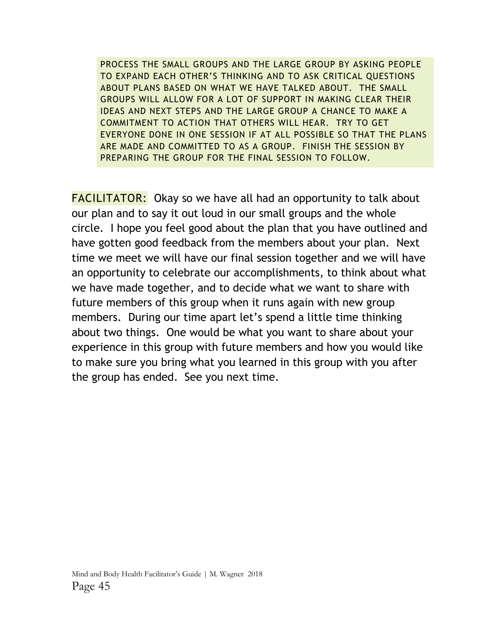PROCESS THE SMALL GROUPS AND THE LARGE GROUP BY ASKING PEOPLE TO EXPAND EACH OTHER'S THINKING AND TO ASK CRITICAL QUESTIONS ABOUT PLANS BASED ON WHAT WE HAVE TALKED ABOUT. THE SMALL GROUPS WILL ALLOW FOR A LOT OF SUPPORT IN MAKING CLEAR THEIR IDEAS AND NEXT STEPS AND THE LARGE GROUP A CHANCE TO MAKE A COMMITMENT TO ACTION THAT OTHERS WILL HEAR. TRY TO GET EVERYONE DONE IN ONE SESSION IF AT ALL POSSIBLE SO THAT THE PLANS ARE MADE AND COMMITTED TO AS A GROUP. FINISH THE SESSION BY PREPARING THE GROUP FOR THE FINAL SESSION TO FOLLOW.

FACILITATOR: Okay so we have all had an opportunity to talk about our plan and to say it out loud in our small groups and the whole circle. I hope you feel good about the plan that you have outlined and have gotten good feedback from the members about your plan. Next time we meet we will have our final session together and we will have an opportunity to celebrate our accomplishments, to think about what we have made together, and to decide what we want to share with future members of this group when it runs again with new group members. During our time apart let's spend a little time thinking about two things. One would be what you want to share about your experience in this group with future members and how you would like to make sure you bring what you learned in this group with you after the group has ended. See you next time.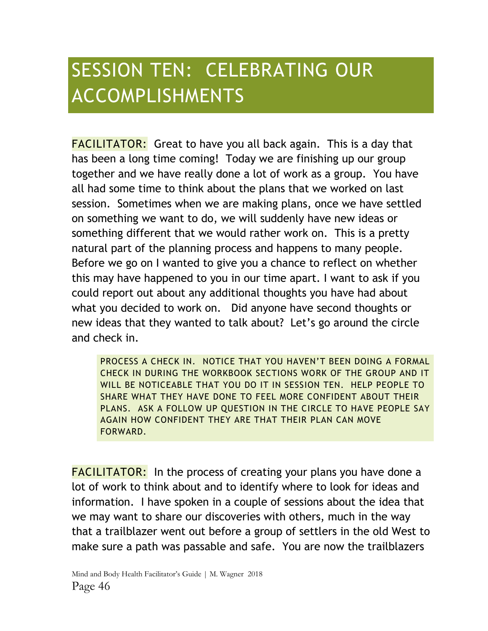# SESSION TEN: CELEBRATING OUR ACCOMPLISHMENTS

FACILITATOR: Great to have you all back again. This is a day that has been a long time coming! Today we are finishing up our group together and we have really done a lot of work as a group. You have all had some time to think about the plans that we worked on last session. Sometimes when we are making plans, once we have settled on something we want to do, we will suddenly have new ideas or something different that we would rather work on. This is a pretty natural part of the planning process and happens to many people. Before we go on I wanted to give you a chance to reflect on whether this may have happened to you in our time apart. I want to ask if you could report out about any additional thoughts you have had about what you decided to work on. Did anyone have second thoughts or new ideas that they wanted to talk about? Let's go around the circle and check in.

PROCESS A CHECK IN. NOTICE THAT YOU HAVEN'T BEEN DOING A FORMAL CHECK IN DURING THE WORKBOOK SECTIONS WORK OF THE GROUP AND IT WILL BE NOTICEABLE THAT YOU DO IT IN SESSION TEN. HELP PEOPLE TO SHARE WHAT THEY HAVE DONE TO FEEL MORE CONFIDENT ABOUT THEIR PLANS. ASK A FOLLOW UP QUESTION IN THE CIRCLE TO HAVE PEOPLE SAY AGAIN HOW CONFIDENT THEY ARE THAT THEIR PLAN CAN MOVE FORWARD.

**FACILITATOR:** In the process of creating your plans you have done a lot of work to think about and to identify where to look for ideas and information. I have spoken in a couple of sessions about the idea that we may want to share our discoveries with others, much in the way that a trailblazer went out before a group of settlers in the old West to make sure a path was passable and safe. You are now the trailblazers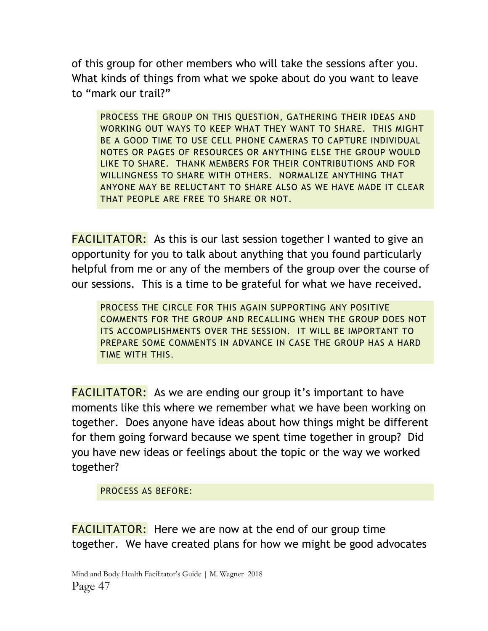of this group for other members who will take the sessions after you. What kinds of things from what we spoke about do you want to leave to "mark our trail?"

PROCESS THE GROUP ON THIS QUESTION, GATHERING THEIR IDEAS AND WORKING OUT WAYS TO KEEP WHAT THEY WANT TO SHARE. THIS MIGHT BE A GOOD TIME TO USE CELL PHONE CAMERAS TO CAPTURE INDIVIDUAL NOTES OR PAGES OF RESOURCES OR ANYTHING ELSE THE GROUP WOULD LIKE TO SHARE. THANK MEMBERS FOR THEIR CONTRIBUTIONS AND FOR WILLINGNESS TO SHARE WITH OTHERS. NORMALIZE ANYTHING THAT ANYONE MAY BE RELUCTANT TO SHARE ALSO AS WE HAVE MADE IT CLEAR THAT PEOPLE ARE FREE TO SHARE OR NOT.

**FACILITATOR:** As this is our last session together I wanted to give an opportunity for you to talk about anything that you found particularly helpful from me or any of the members of the group over the course of our sessions. This is a time to be grateful for what we have received.

PROCESS THE CIRCLE FOR THIS AGAIN SUPPORTING ANY POSITIVE COMMENTS FOR THE GROUP AND RECALLING WHEN THE GROUP DOES NOT ITS ACCOMPLISHMENTS OVER THE SESSION. IT WILL BE IMPORTANT TO PREPARE SOME COMMENTS IN ADVANCE IN CASE THE GROUP HAS A HARD TIME WITH THIS.

**FACILITATOR:** As we are ending our group it's important to have moments like this where we remember what we have been working on together. Does anyone have ideas about how things might be different for them going forward because we spent time together in group? Did you have new ideas or feelings about the topic or the way we worked together?

PROCESS AS BEFORE:

**FACILITATOR:** Here we are now at the end of our group time together. We have created plans for how we might be good advocates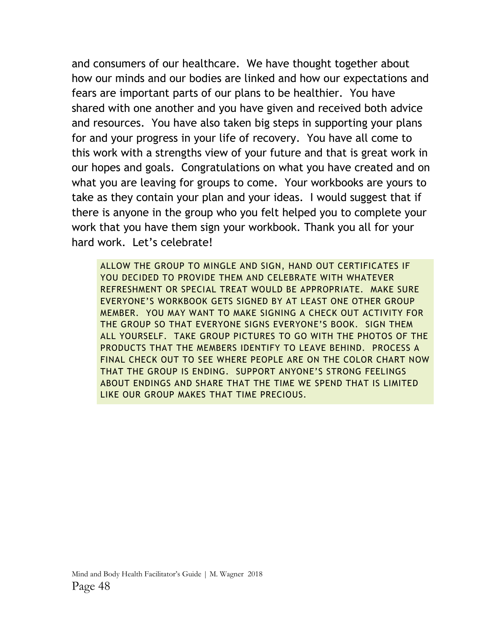and consumers of our healthcare. We have thought together about how our minds and our bodies are linked and how our expectations and fears are important parts of our plans to be healthier. You have shared with one another and you have given and received both advice and resources. You have also taken big steps in supporting your plans for and your progress in your life of recovery. You have all come to this work with a strengths view of your future and that is great work in our hopes and goals. Congratulations on what you have created and on what you are leaving for groups to come. Your workbooks are yours to take as they contain your plan and your ideas. I would suggest that if there is anyone in the group who you felt helped you to complete your work that you have them sign your workbook. Thank you all for your hard work. Let's celebrate!

ALLOW THE GROUP TO MINGLE AND SIGN, HAND OUT CERTIFICATES IF YOU DECIDED TO PROVIDE THEM AND CELEBRATE WITH WHATEVER REFRESHMENT OR SPECIAL TREAT WOULD BE APPROPRIATE. MAKE SURE EVERYONE'S WORKBOOK GETS SIGNED BY AT LEAST ONE OTHER GROUP MEMBER. YOU MAY WANT TO MAKE SIGNING A CHECK OUT ACTIVITY FOR THE GROUP SO THAT EVERYONE SIGNS EVERYONE'S BOOK. SIGN THEM ALL YOURSELF. TAKE GROUP PICTURES TO GO WITH THE PHOTOS OF THE PRODUCTS THAT THE MEMBERS IDENTIFY TO LEAVE BEHIND. PROCESS A FINAL CHECK OUT TO SEE WHERE PEOPLE ARE ON THE COLOR CHART NOW THAT THE GROUP IS ENDING. SUPPORT ANYONE'S STRONG FEELINGS ABOUT ENDINGS AND SHARE THAT THE TIME WE SPEND THAT IS LIMITED LIKE OUR GROUP MAKES THAT TIME PRECIOUS.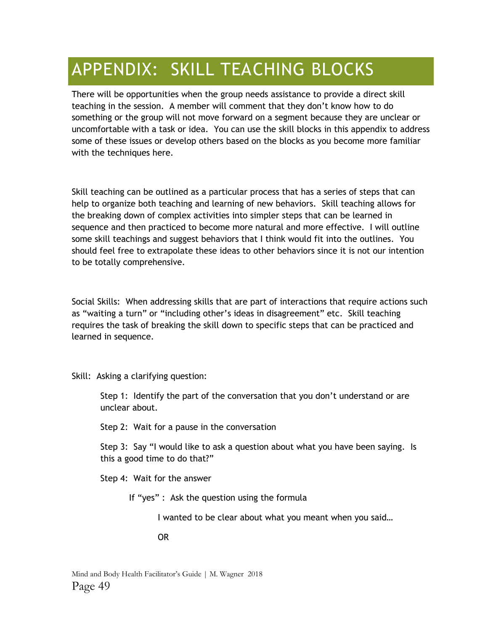### APPENDIX: SKILL TEACHING BLOCKS

There will be opportunities when the group needs assistance to provide a direct skill teaching in the session. A member will comment that they don't know how to do something or the group will not move forward on a segment because they are unclear or uncomfortable with a task or idea. You can use the skill blocks in this appendix to address some of these issues or develop others based on the blocks as you become more familiar with the techniques here.

Skill teaching can be outlined as a particular process that has a series of steps that can help to organize both teaching and learning of new behaviors. Skill teaching allows for the breaking down of complex activities into simpler steps that can be learned in sequence and then practiced to become more natural and more effective. I will outline some skill teachings and suggest behaviors that I think would fit into the outlines. You should feel free to extrapolate these ideas to other behaviors since it is not our intention to be totally comprehensive.

Social Skills: When addressing skills that are part of interactions that require actions such as "waiting a turn" or "including other's ideas in disagreement" etc. Skill teaching requires the task of breaking the skill down to specific steps that can be practiced and learned in sequence.

Skill: Asking a clarifying question:

Step 1: Identify the part of the conversation that you don't understand or are unclear about.

Step 2: Wait for a pause in the conversation

Step 3: Say "I would like to ask a question about what you have been saying. Is this a good time to do that?"

Step 4: Wait for the answer

If "yes" : Ask the question using the formula

I wanted to be clear about what you meant when you said…

OR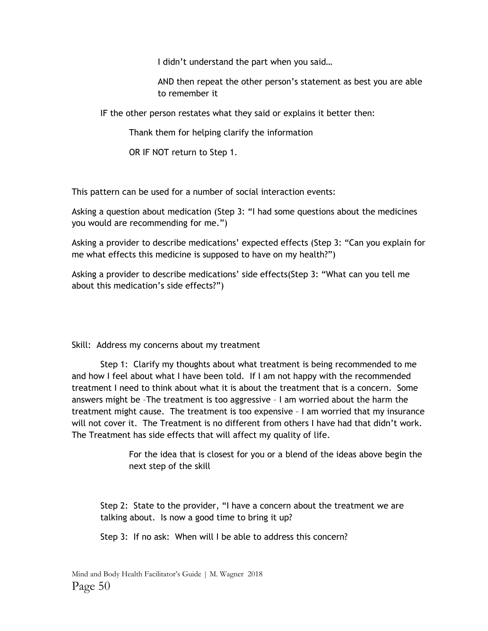I didn't understand the part when you said…

AND then repeat the other person's statement as best you are able to remember it

IF the other person restates what they said or explains it better then:

Thank them for helping clarify the information

OR IF NOT return to Step 1.

This pattern can be used for a number of social interaction events:

Asking a question about medication (Step 3: "I had some questions about the medicines you would are recommending for me.")

Asking a provider to describe medications' expected effects (Step 3: "Can you explain for me what effects this medicine is supposed to have on my health?")

Asking a provider to describe medications' side effects(Step 3: "What can you tell me about this medication's side effects?")

Skill: Address my concerns about my treatment

Step 1: Clarify my thoughts about what treatment is being recommended to me and how I feel about what I have been told. If I am not happy with the recommended treatment I need to think about what it is about the treatment that is a concern. Some answers might be –The treatment is too aggressive – I am worried about the harm the treatment might cause. The treatment is too expensive – I am worried that my insurance will not cover it. The Treatment is no different from others I have had that didn't work. The Treatment has side effects that will affect my quality of life.

> For the idea that is closest for you or a blend of the ideas above begin the next step of the skill

Step 2: State to the provider, "I have a concern about the treatment we are talking about. Is now a good time to bring it up?

Step 3: If no ask: When will I be able to address this concern?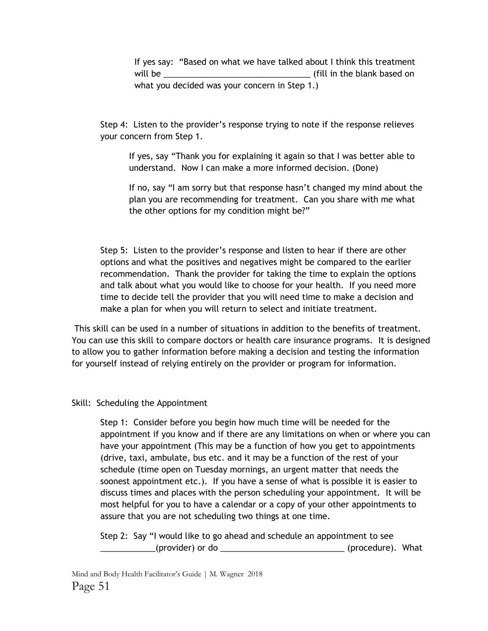If yes say: "Based on what we have talked about I think this treatment will be \_\_\_\_\_\_\_\_\_\_\_\_\_\_\_\_\_\_\_\_\_\_\_\_\_\_\_\_\_\_\_\_ (fill in the blank based on what you decided was your concern in Step 1.)

Step 4: Listen to the provider's response trying to note if the response relieves your concern from Step 1.

If yes, say "Thank you for explaining it again so that I was better able to understand. Now I can make a more informed decision. (Done)

If no, say "I am sorry but that response hasn't changed my mind about the plan you are recommending for treatment. Can you share with me what the other options for my condition might be?"

Step 5: Listen to the provider's response and listen to hear if there are other options and what the positives and negatives might be compared to the earlier recommendation. Thank the provider for taking the time to explain the options and talk about what you would like to choose for your health. If you need more time to decide tell the provider that you will need time to make a decision and make a plan for when you will return to select and initiate treatment.

This skill can be used in a number of situations in addition to the benefits of treatment. You can use this skill to compare doctors or health care insurance programs. It is designed to allow you to gather information before making a decision and testing the information for yourself instead of relying entirely on the provider or program for information.

#### Skill: Scheduling the Appointment

Step 1: Consider before you begin how much time will be needed for the appointment if you know and if there are any limitations on when or where you can have your appointment (This may be a function of how you get to appointments (drive, taxi, ambulate, bus etc. and it may be a function of the rest of your schedule (time open on Tuesday mornings, an urgent matter that needs the soonest appointment etc.). If you have a sense of what is possible it is easier to discuss times and places with the person scheduling your appointment. It will be most helpful for you to have a calendar or a copy of your other appointments to assure that you are not scheduling two things at one time.

Step 2: Say "I would like to go ahead and schedule an appointment to see \_\_\_\_\_\_\_\_\_\_\_\_(provider) or do \_\_\_\_\_\_\_\_\_\_\_\_\_\_\_\_\_\_\_\_\_\_\_\_\_\_\_ (procedure). What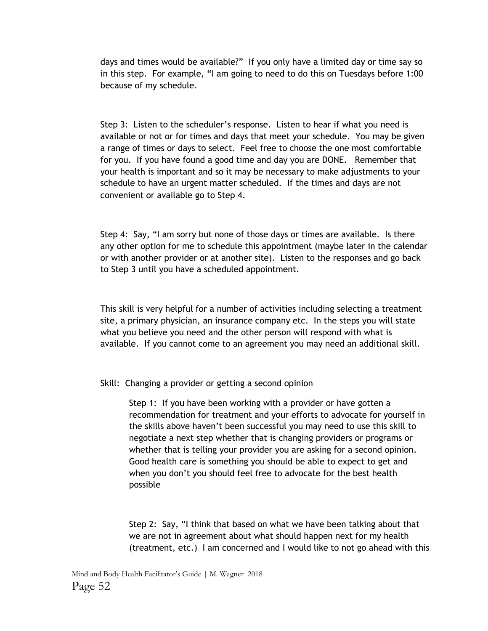days and times would be available?" If you only have a limited day or time say so in this step. For example, "I am going to need to do this on Tuesdays before 1:00 because of my schedule.

Step 3: Listen to the scheduler's response. Listen to hear if what you need is available or not or for times and days that meet your schedule. You may be given a range of times or days to select. Feel free to choose the one most comfortable for you. If you have found a good time and day you are DONE. Remember that your health is important and so it may be necessary to make adjustments to your schedule to have an urgent matter scheduled. If the times and days are not convenient or available go to Step 4.

Step 4: Say, "I am sorry but none of those days or times are available. Is there any other option for me to schedule this appointment (maybe later in the calendar or with another provider or at another site). Listen to the responses and go back to Step 3 until you have a scheduled appointment.

This skill is very helpful for a number of activities including selecting a treatment site, a primary physician, an insurance company etc. In the steps you will state what you believe you need and the other person will respond with what is available. If you cannot come to an agreement you may need an additional skill.

Skill: Changing a provider or getting a second opinion

Step 1: If you have been working with a provider or have gotten a recommendation for treatment and your efforts to advocate for yourself in the skills above haven't been successful you may need to use this skill to negotiate a next step whether that is changing providers or programs or whether that is telling your provider you are asking for a second opinion. Good health care is something you should be able to expect to get and when you don't you should feel free to advocate for the best health possible

Step 2: Say, "I think that based on what we have been talking about that we are not in agreement about what should happen next for my health (treatment, etc.) I am concerned and I would like to not go ahead with this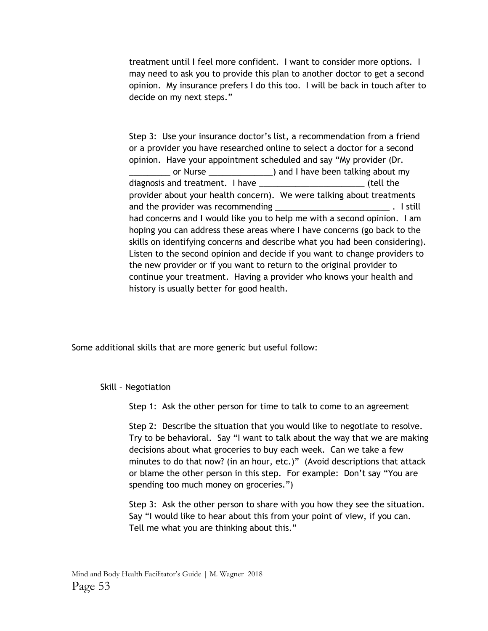treatment until I feel more confident. I want to consider more options. I may need to ask you to provide this plan to another doctor to get a second opinion. My insurance prefers I do this too. I will be back in touch after to decide on my next steps."

Step 3: Use your insurance doctor's list, a recommendation from a friend or a provider you have researched online to select a doctor for a second opinion. Have your appointment scheduled and say "My provider (Dr. or Nurse and 1 have been talking about my diagnosis and treatment. I have \_\_\_\_\_\_\_\_\_\_\_\_\_\_\_\_\_\_\_\_\_\_\_\_\_\_\_\_\_\_\_(tell the provider about your health concern). We were talking about treatments and the provider was recommending **Exercise 2018** 2019. I still had concerns and I would like you to help me with a second opinion. I am hoping you can address these areas where I have concerns (go back to the skills on identifying concerns and describe what you had been considering). Listen to the second opinion and decide if you want to change providers to the new provider or if you want to return to the original provider to continue your treatment. Having a provider who knows your health and history is usually better for good health.

Some additional skills that are more generic but useful follow:

Skill – Negotiation

Step 1: Ask the other person for time to talk to come to an agreement

Step 2: Describe the situation that you would like to negotiate to resolve. Try to be behavioral. Say "I want to talk about the way that we are making decisions about what groceries to buy each week. Can we take a few minutes to do that now? (in an hour, etc.)" (Avoid descriptions that attack or blame the other person in this step. For example: Don't say "You are spending too much money on groceries.")

Step 3: Ask the other person to share with you how they see the situation. Say "I would like to hear about this from your point of view, if you can. Tell me what you are thinking about this."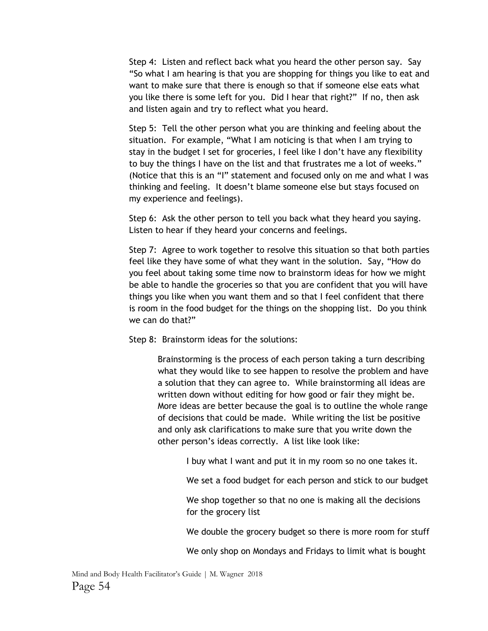Step 4: Listen and reflect back what you heard the other person say. Say "So what I am hearing is that you are shopping for things you like to eat and want to make sure that there is enough so that if someone else eats what you like there is some left for you. Did I hear that right?" If no, then ask and listen again and try to reflect what you heard.

Step 5: Tell the other person what you are thinking and feeling about the situation. For example, "What I am noticing is that when I am trying to stay in the budget I set for groceries, I feel like I don't have any flexibility to buy the things I have on the list and that frustrates me a lot of weeks." (Notice that this is an "I" statement and focused only on me and what I was thinking and feeling. It doesn't blame someone else but stays focused on my experience and feelings).

Step 6: Ask the other person to tell you back what they heard you saying. Listen to hear if they heard your concerns and feelings.

Step 7: Agree to work together to resolve this situation so that both parties feel like they have some of what they want in the solution. Say, "How do you feel about taking some time now to brainstorm ideas for how we might be able to handle the groceries so that you are confident that you will have things you like when you want them and so that I feel confident that there is room in the food budget for the things on the shopping list. Do you think we can do that?"

Step 8: Brainstorm ideas for the solutions:

Brainstorming is the process of each person taking a turn describing what they would like to see happen to resolve the problem and have a solution that they can agree to. While brainstorming all ideas are written down without editing for how good or fair they might be. More ideas are better because the goal is to outline the whole range of decisions that could be made. While writing the list be positive and only ask clarifications to make sure that you write down the other person's ideas correctly. A list like look like:

I buy what I want and put it in my room so no one takes it.

We set a food budget for each person and stick to our budget

We shop together so that no one is making all the decisions for the grocery list

We double the grocery budget so there is more room for stuff

We only shop on Mondays and Fridays to limit what is bought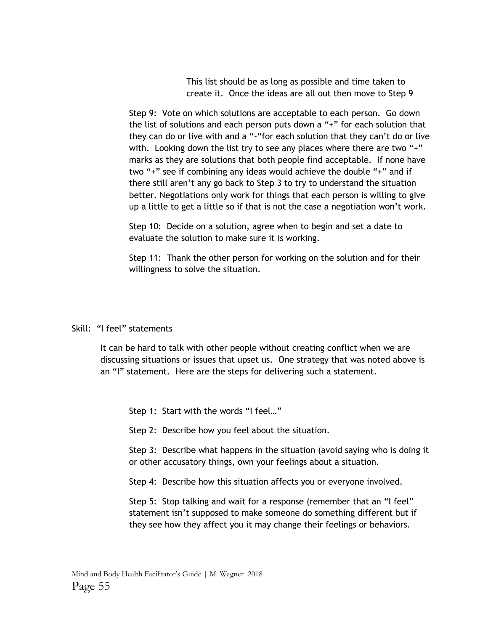This list should be as long as possible and time taken to create it. Once the ideas are all out then move to Step 9

Step 9: Vote on which solutions are acceptable to each person. Go down the list of solutions and each person puts down a "+" for each solution that they can do or live with and a "-"for each solution that they can't do or live with. Looking down the list try to see any places where there are two "+" marks as they are solutions that both people find acceptable. If none have two "+" see if combining any ideas would achieve the double "+" and if there still aren't any go back to Step 3 to try to understand the situation better. Negotiations only work for things that each person is willing to give up a little to get a little so if that is not the case a negotiation won't work.

Step 10: Decide on a solution, agree when to begin and set a date to evaluate the solution to make sure it is working.

Step 11: Thank the other person for working on the solution and for their willingness to solve the situation.

#### Skill: "I feel" statements

It can be hard to talk with other people without creating conflict when we are discussing situations or issues that upset us. One strategy that was noted above is an "I" statement. Here are the steps for delivering such a statement.

Step 1: Start with the words "I feel…"

Step 2: Describe how you feel about the situation.

Step 3: Describe what happens in the situation (avoid saying who is doing it or other accusatory things, own your feelings about a situation.

Step 4: Describe how this situation affects you or everyone involved.

Step 5: Stop talking and wait for a response (remember that an "I feel" statement isn't supposed to make someone do something different but if they see how they affect you it may change their feelings or behaviors.